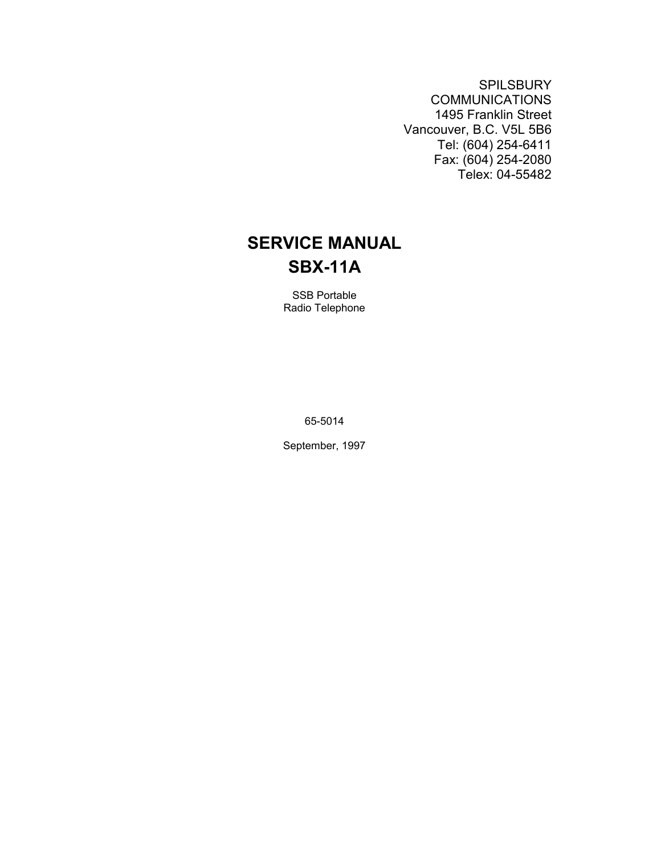**SPILSBURY** COMMUNICATIONS 1495 Franklin Street Vancouver, B.C. V5L 5B6 Tel: (604) 254-6411 Fax: (604) 254-2080 Telex: 04-55482

# **SERVICE MANUAL SBX-11A**

SSB Portable Radio Telephone

65-5014

September, 1997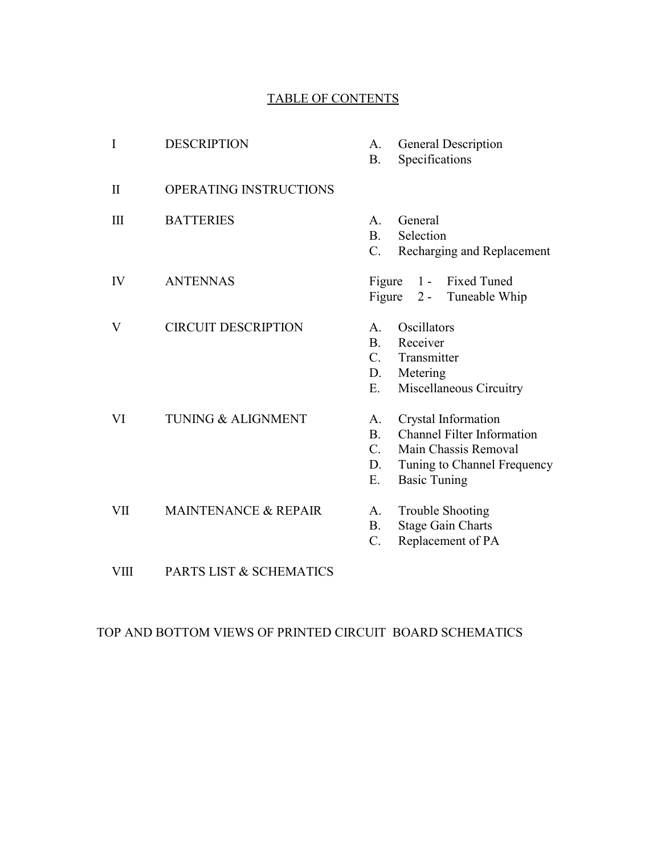#### TABLE OF CONTENTS

| I            | <b>DESCRIPTION</b>              | A.<br><b>B.</b>                                     | General Description<br>Specifications                                                                                                  |
|--------------|---------------------------------|-----------------------------------------------------|----------------------------------------------------------------------------------------------------------------------------------------|
| $\mathbf{I}$ | <b>OPERATING INSTRUCTIONS</b>   |                                                     |                                                                                                                                        |
| $\mathbf{I}$ | <b>BATTERIES</b>                | A.<br>B <sub>1</sub><br>C.                          | General<br>Selection<br>Recharging and Replacement                                                                                     |
| IV           | <b>ANTENNAS</b>                 | Figure<br>Figure                                    | 1 - Fixed Tuned<br>2 - Tuneable Whip                                                                                                   |
| V            | <b>CIRCUIT DESCRIPTION</b>      | A.<br>B <sub>1</sub><br>$C_{\cdot}$<br>D.<br>Ε.     | Oscillators<br>Receiver<br>Transmitter<br>Metering<br>Miscellaneous Circuitry                                                          |
| VI           | <b>TUNING &amp; ALIGNMENT</b>   | A.<br>B <sub>1</sub><br>$\mathcal{C}$ .<br>D.<br>Ε. | Crystal Information<br><b>Channel Filter Information</b><br>Main Chassis Removal<br>Tuning to Channel Frequency<br><b>Basic Tuning</b> |
| VII          | <b>MAINTENANCE &amp; REPAIR</b> | $A_{-}$<br><b>B.</b><br>$C$ .                       | <b>Trouble Shooting</b><br><b>Stage Gain Charts</b><br>Replacement of PA                                                               |
| <b>VIII</b>  | PARTS LIST & SCHEMATICS         |                                                     |                                                                                                                                        |

TOP AND BOTTOM VIEWS OF PRINTED CIRCUIT BOARD SCHEMATICS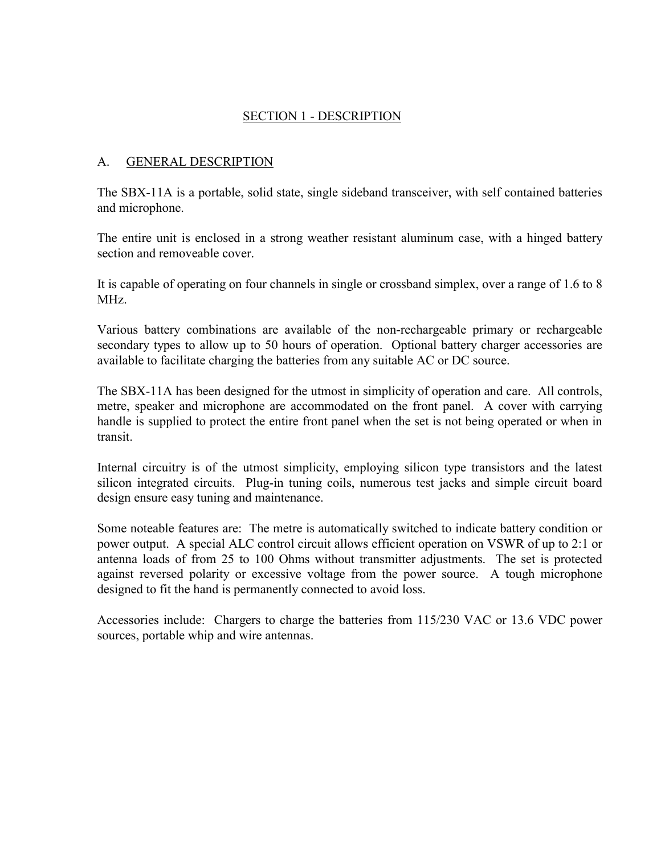#### SECTION 1 - DESCRIPTION

#### A. GENERAL DESCRIPTION

The SBX-11A is a portable, solid state, single sideband transceiver, with self contained batteries and microphone.

The entire unit is enclosed in a strong weather resistant aluminum case, with a hinged battery section and removeable cover.

It is capable of operating on four channels in single or crossband simplex, over a range of 1.6 to 8 MHz.

Various battery combinations are available of the non-rechargeable primary or rechargeable secondary types to allow up to 50 hours of operation. Optional battery charger accessories are available to facilitate charging the batteries from any suitable AC or DC source.

The SBX-11A has been designed for the utmost in simplicity of operation and care. All controls, metre, speaker and microphone are accommodated on the front panel. A cover with carrying handle is supplied to protect the entire front panel when the set is not being operated or when in transit.

Internal circuitry is of the utmost simplicity, employing silicon type transistors and the latest silicon integrated circuits. Plug-in tuning coils, numerous test jacks and simple circuit board design ensure easy tuning and maintenance.

Some noteable features are: The metre is automatically switched to indicate battery condition or power output. A special ALC control circuit allows efficient operation on VSWR of up to 2:1 or antenna loads of from 25 to 100 Ohms without transmitter adjustments. The set is protected against reversed polarity or excessive voltage from the power source. A tough microphone designed to fit the hand is permanently connected to avoid loss.

Accessories include: Chargers to charge the batteries from 115/230 VAC or 13.6 VDC power sources, portable whip and wire antennas.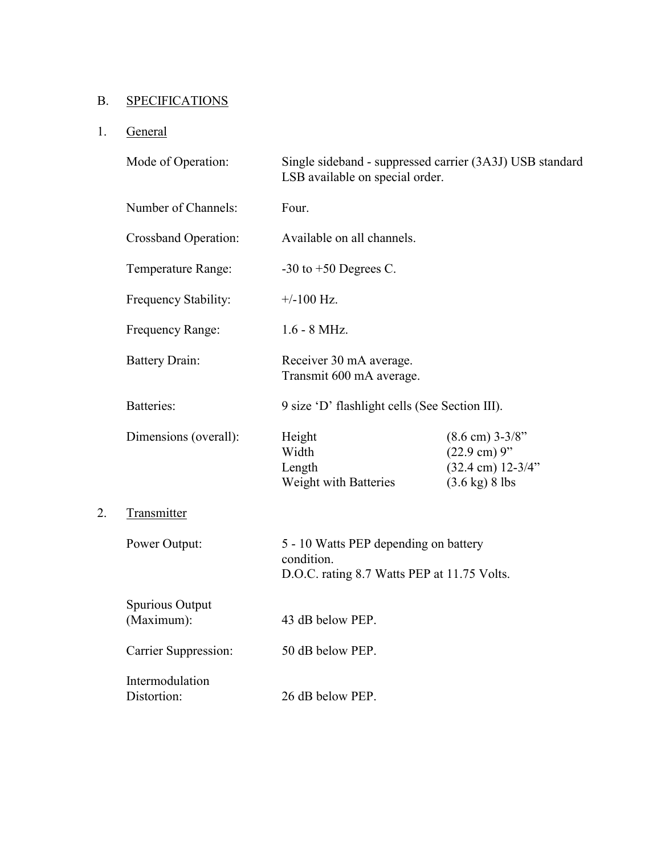# B. SPECIFICATIONS

# 1. General

2.

|    | Mode of Operation:             | Single sideband - suppressed carrier (3A3J) USB standard<br>LSB available on special order.        |                                                                                                                |  |
|----|--------------------------------|----------------------------------------------------------------------------------------------------|----------------------------------------------------------------------------------------------------------------|--|
|    | Number of Channels:            | Four.                                                                                              |                                                                                                                |  |
|    | <b>Crossband Operation:</b>    | Available on all channels.                                                                         |                                                                                                                |  |
|    | Temperature Range:             | -30 to $+50$ Degrees C.                                                                            |                                                                                                                |  |
|    | Frequency Stability:           | $+/-100$ Hz.                                                                                       |                                                                                                                |  |
|    | Frequency Range:               | $1.6 - 8$ MHz.                                                                                     |                                                                                                                |  |
|    | <b>Battery Drain:</b>          | Receiver 30 mA average.<br>Transmit 600 mA average.                                                |                                                                                                                |  |
|    | Batteries:                     | 9 size 'D' flashlight cells (See Section III).                                                     |                                                                                                                |  |
|    | Dimensions (overall):          | Height<br>Width<br>Length<br>Weight with Batteries                                                 | $(8.6 \text{ cm})$ 3-3/8"<br>$(22.9 \text{ cm})$ 9"<br>$(32.4 \text{ cm})$ 12-3/4"<br>$(3.6 \text{ kg})$ 8 lbs |  |
| 2. | Transmitter                    |                                                                                                    |                                                                                                                |  |
|    | Power Output:                  | 5 - 10 Watts PEP depending on battery<br>condition.<br>D.O.C. rating 8.7 Watts PEP at 11.75 Volts. |                                                                                                                |  |
|    | Spurious Output<br>(Maximum):  | 43 dB below PEP.                                                                                   |                                                                                                                |  |
|    | Carrier Suppression:           | 50 dB below PEP.                                                                                   |                                                                                                                |  |
|    | Intermodulation<br>Distortion: | 26 dB below PEP.                                                                                   |                                                                                                                |  |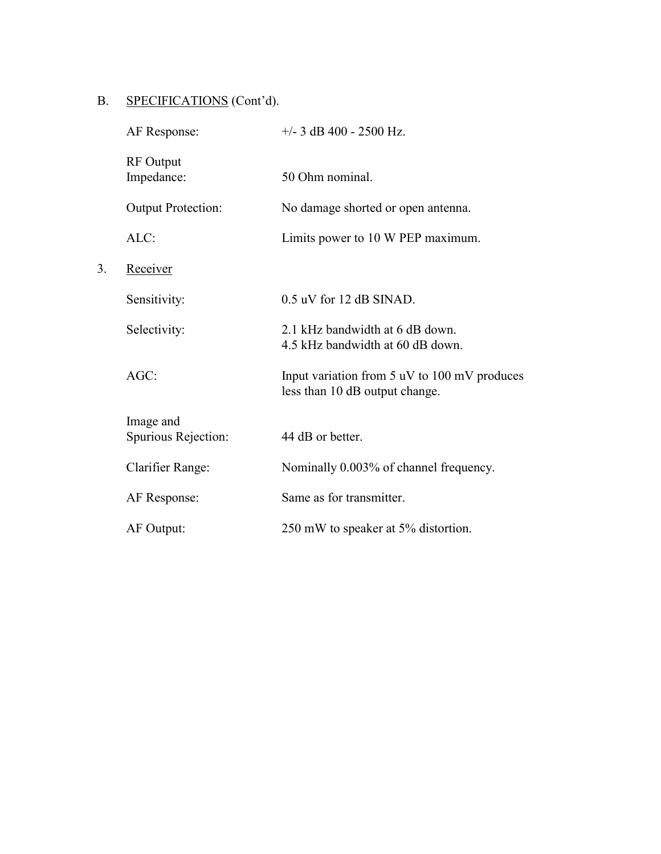# B. SPECIFICATIONS (Cont'd).

3. Receiver

|    | AF Response:                     | $+/-$ 3 dB 400 - 2500 Hz.                                                      |
|----|----------------------------------|--------------------------------------------------------------------------------|
|    | <b>RF</b> Output<br>Impedance:   | 50 Ohm nominal.                                                                |
|    | <b>Output Protection:</b>        | No damage shorted or open antenna.                                             |
|    | ALC:                             | Limits power to 10 W PEP maximum.                                              |
| 3. | Receiver                         |                                                                                |
|    | Sensitivity:                     | $0.5$ uV for 12 dB SINAD.                                                      |
|    | Selectivity:                     | 2.1 kHz bandwidth at 6 dB down.<br>4.5 kHz bandwidth at 60 dB down.            |
|    | $AGC$ :                          | Input variation from 5 uV to 100 mV produces<br>less than 10 dB output change. |
|    | Image and<br>Spurious Rejection: | 44 dB or better.                                                               |
|    | Clarifier Range:                 | Nominally 0.003% of channel frequency.                                         |
|    | AF Response:                     | Same as for transmitter.                                                       |
|    | AF Output:                       | 250 mW to speaker at 5% distortion.                                            |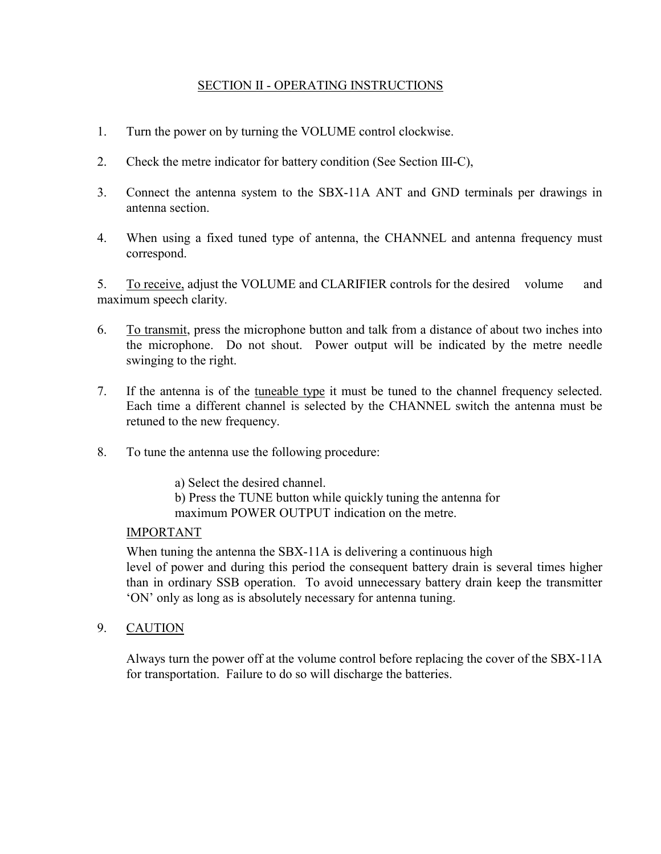#### SECTION II - OPERATING INSTRUCTIONS

- 1. Turn the power on by turning the VOLUME control clockwise.
- 2. Check the metre indicator for battery condition (See Section III-C),
- 3. Connect the antenna system to the SBX-11A ANT and GND terminals per drawings in antenna section.
- 4. When using a fixed tuned type of antenna, the CHANNEL and antenna frequency must correspond.

5. To receive, adjust the VOLUME and CLARIFIER controls for the desired volume and maximum speech clarity.

- 6. To transmit, press the microphone button and talk from a distance of about two inches into the microphone. Do not shout. Power output will be indicated by the metre needle swinging to the right.
- 7. If the antenna is of the tuneable type it must be tuned to the channel frequency selected. Each time a different channel is selected by the CHANNEL switch the antenna must be retuned to the new frequency.
- 8. To tune the antenna use the following procedure:

a) Select the desired channel.

 b) Press the TUNE button while quickly tuning the antenna for maximum POWER OUTPUT indication on the metre.

#### IMPORTANT

When tuning the antenna the SBX-11A is delivering a continuous high level of power and during this period the consequent battery drain is several times higher than in ordinary SSB operation. To avoid unnecessary battery drain keep the transmitter 'ON' only as long as is absolutely necessary for antenna tuning.

9. CAUTION

Always turn the power off at the volume control before replacing the cover of the SBX-11A for transportation. Failure to do so will discharge the batteries.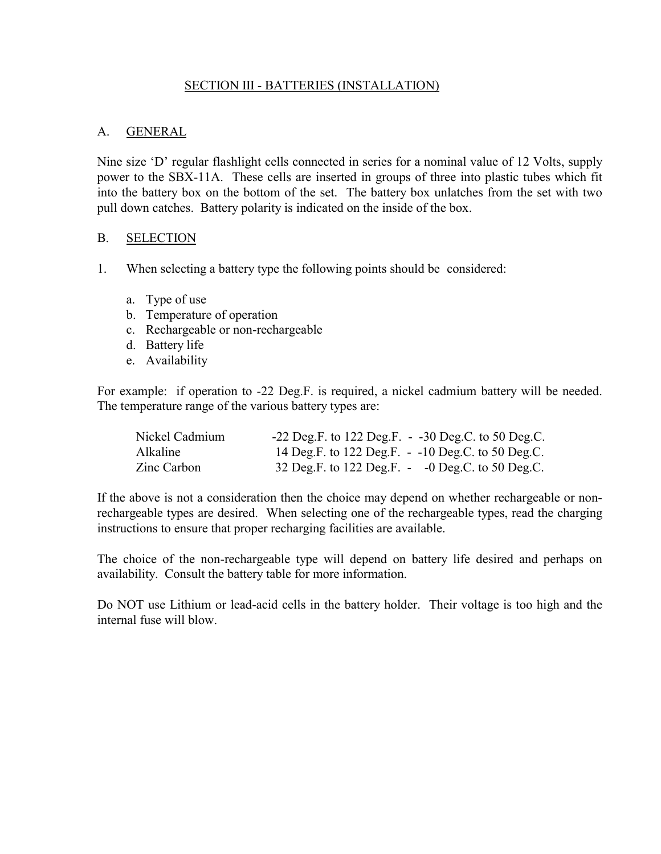#### SECTION III - BATTERIES (INSTALLATION)

#### A. GENERAL

Nine size 'D' regular flashlight cells connected in series for a nominal value of 12 Volts, supply power to the SBX-11A. These cells are inserted in groups of three into plastic tubes which fit into the battery box on the bottom of the set. The battery box unlatches from the set with two pull down catches. Battery polarity is indicated on the inside of the box.

#### B. SELECTION

- 1. When selecting a battery type the following points should be considered:
	- a. Type of use
	- b. Temperature of operation
	- c. Rechargeable or non-rechargeable
	- d. Battery life
	- e. Availability

For example: if operation to -22 Deg.F. is required, a nickel cadmium battery will be needed. The temperature range of the various battery types are:

| Nickel Cadmium  | $-22$ Deg.F. to 122 Deg.F. $-30$ Deg.C. to 50 Deg.C.  |
|-----------------|-------------------------------------------------------|
| <b>Alkaline</b> | 14 Deg.F. to 122 Deg.F. - -10 Deg.C. to 50 Deg.C.     |
| Zinc Carbon     | 32 Deg.F. to 122 Deg.F. $\sim$ -0 Deg.C. to 50 Deg.C. |

If the above is not a consideration then the choice may depend on whether rechargeable or nonrechargeable types are desired. When selecting one of the rechargeable types, read the charging instructions to ensure that proper recharging facilities are available.

The choice of the non-rechargeable type will depend on battery life desired and perhaps on availability. Consult the battery table for more information.

Do NOT use Lithium or lead-acid cells in the battery holder. Their voltage is too high and the internal fuse will blow.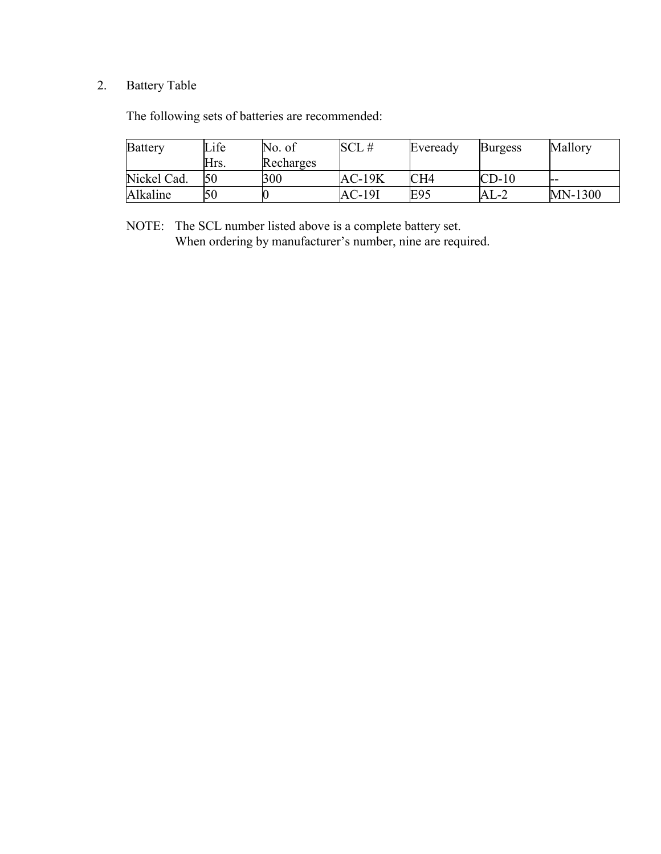# 2. Battery Table

The following sets of batteries are recommended:

| <b>Battery</b> | Life | No. of    | SCL#     | Eveready        | <b>Burgess</b> | Mallory |
|----------------|------|-----------|----------|-----------------|----------------|---------|
|                | Hrs. | Recharges |          |                 |                |         |
| Nickel Cad.    | 50   | 300       | $AC-19K$ | CH <sub>4</sub> | $CD-10$        | --      |
| Alkaline       | 50   |           | AC-19I   | E95             | AL-2           | MN-1300 |

 NOTE: The SCL number listed above is a complete battery set. When ordering by manufacturer's number, nine are required.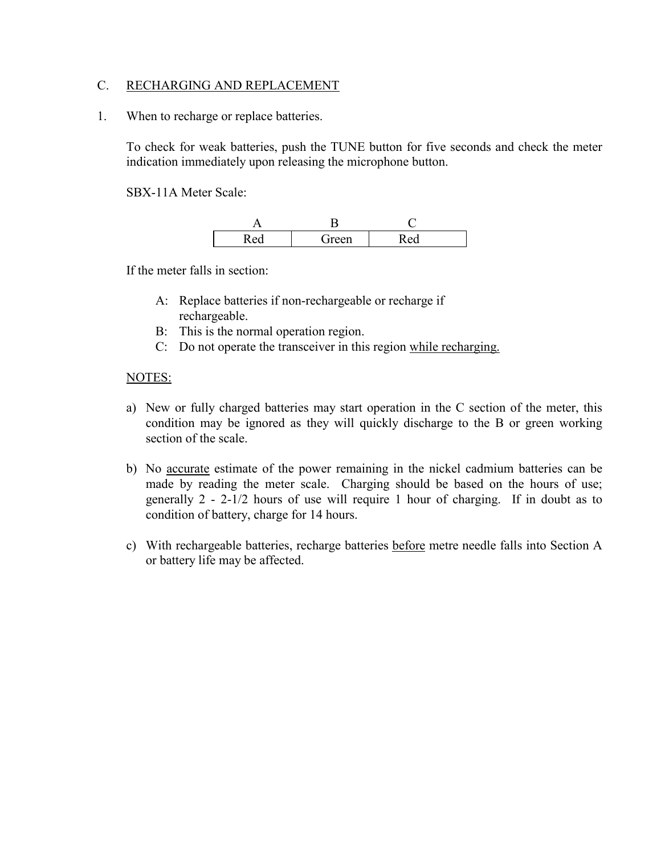#### C. RECHARGING AND REPLACEMENT

1. When to recharge or replace batteries.

To check for weak batteries, push the TUNE button for five seconds and check the meter indication immediately upon releasing the microphone button.

SBX-11A Meter Scale:

| - -      | -    |    |
|----------|------|----|
| $\Delta$ | reen | ഛ  |
| $\sim$   | VН   | ww |

If the meter falls in section:

- A: Replace batteries if non-rechargeable or recharge if rechargeable.
- B: This is the normal operation region.
- C: Do not operate the transceiver in this region while recharging.

#### NOTES:

- a) New or fully charged batteries may start operation in the C section of the meter, this condition may be ignored as they will quickly discharge to the B or green working section of the scale.
- b) No accurate estimate of the power remaining in the nickel cadmium batteries can be made by reading the meter scale. Charging should be based on the hours of use; generally 2 - 2-1/2 hours of use will require 1 hour of charging. If in doubt as to condition of battery, charge for 14 hours.
- c) With rechargeable batteries, recharge batteries before metre needle falls into Section A or battery life may be affected.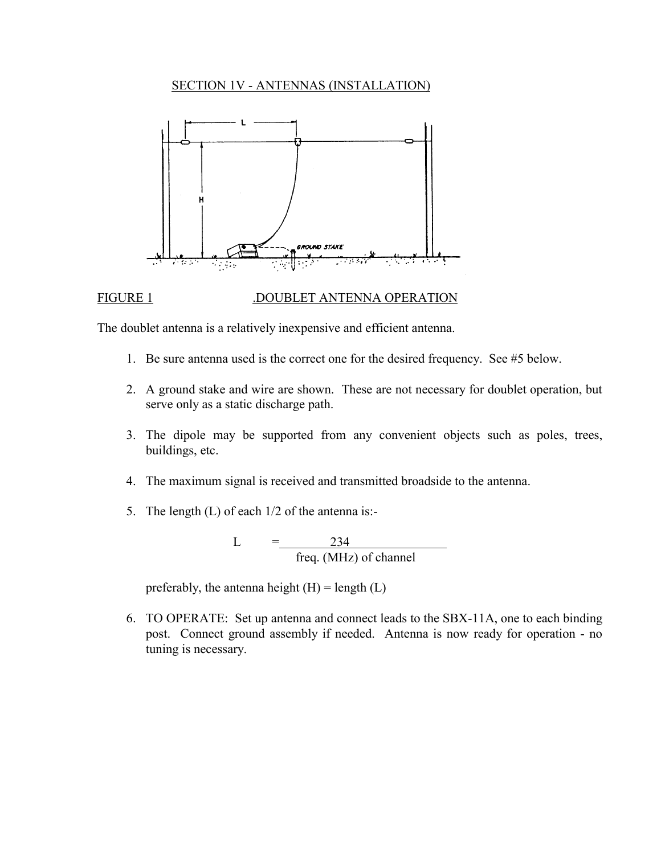#### SECTION 1V - ANTENNAS (INSTALLATION)



#### FIGURE 1 .DOUBLET ANTENNA OPERATION

The doublet antenna is a relatively inexpensive and efficient antenna.

- 1. Be sure antenna used is the correct one for the desired frequency. See #5 below.
- 2. A ground stake and wire are shown. These are not necessary for doublet operation, but serve only as a static discharge path.
- 3. The dipole may be supported from any convenient objects such as poles, trees, buildings, etc.
- 4. The maximum signal is received and transmitted broadside to the antenna.
- 5. The length (L) of each 1/2 of the antenna is:-

$$
L = \frac{234}{\text{freq. (MHz) of channel}}
$$

preferably, the antenna height  $(H)$  = length  $(L)$ 

6. TO OPERATE: Set up antenna and connect leads to the SBX-11A, one to each binding post. Connect ground assembly if needed. Antenna is now ready for operation - no tuning is necessary.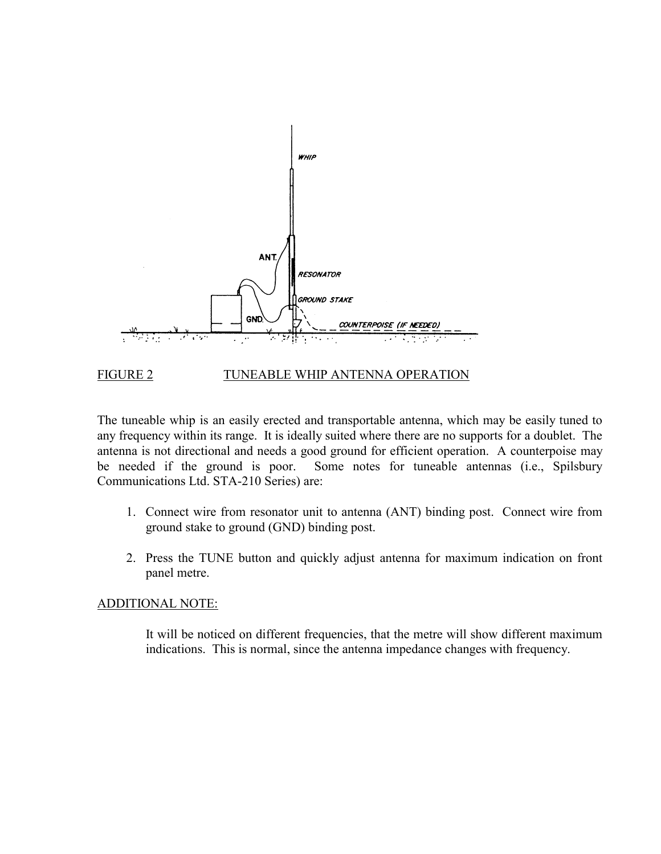

#### FIGURE 2 TUNEABLE WHIP ANTENNA OPERATION

The tuneable whip is an easily erected and transportable antenna, which may be easily tuned to any frequency within its range. It is ideally suited where there are no supports for a doublet. The antenna is not directional and needs a good ground for efficient operation. A counterpoise may be needed if the ground is poor. Some notes for tuneable antennas (i.e., Spilsbury Communications Ltd. STA-210 Series) are:

- 1. Connect wire from resonator unit to antenna (ANT) binding post. Connect wire from ground stake to ground (GND) binding post.
- 2. Press the TUNE button and quickly adjust antenna for maximum indication on front panel metre.

#### ADDITIONAL NOTE:

It will be noticed on different frequencies, that the metre will show different maximum indications. This is normal, since the antenna impedance changes with frequency.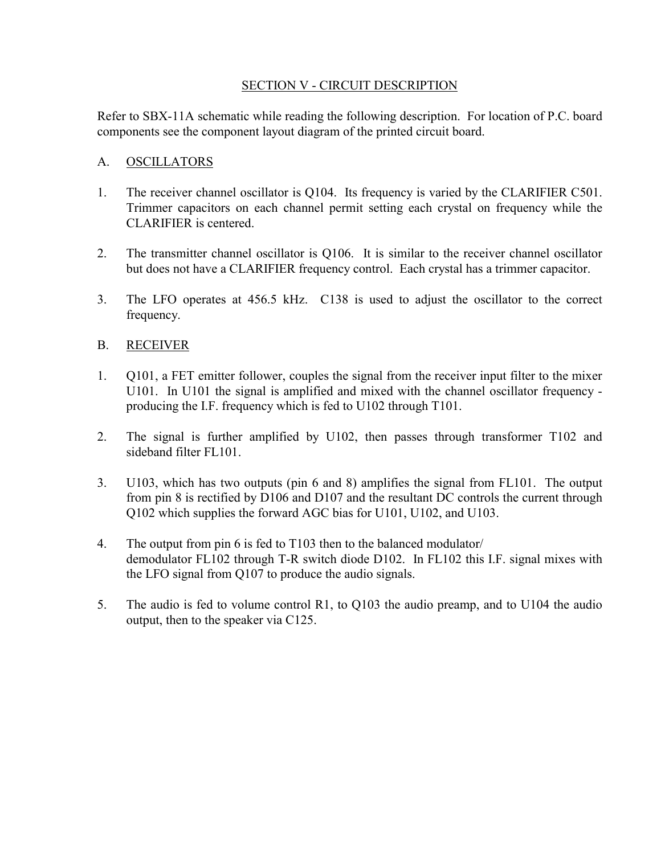#### SECTION V - CIRCUIT DESCRIPTION

Refer to SBX-11A schematic while reading the following description. For location of P.C. board components see the component layout diagram of the printed circuit board.

#### A. OSCILLATORS

- 1. The receiver channel oscillator is Q104. Its frequency is varied by the CLARIFIER C501. Trimmer capacitors on each channel permit setting each crystal on frequency while the CLARIFIER is centered.
- 2. The transmitter channel oscillator is Q106. It is similar to the receiver channel oscillator but does not have a CLARIFIER frequency control. Each crystal has a trimmer capacitor.
- 3. The LFO operates at 456.5 kHz. C138 is used to adjust the oscillator to the correct frequency.

#### B. RECEIVER

- 1. Q101, a FET emitter follower, couples the signal from the receiver input filter to the mixer U101. In U101 the signal is amplified and mixed with the channel oscillator frequency producing the I.F. frequency which is fed to U102 through T101.
- 2. The signal is further amplified by U102, then passes through transformer T102 and sideband filter FL101.
- 3. U103, which has two outputs (pin 6 and 8) amplifies the signal from FL101. The output from pin 8 is rectified by D106 and D107 and the resultant DC controls the current through Q102 which supplies the forward AGC bias for U101, U102, and U103.
- 4. The output from pin 6 is fed to T103 then to the balanced modulator/ demodulator FL102 through T-R switch diode D102. In FL102 this I.F. signal mixes with the LFO signal from Q107 to produce the audio signals.
- 5. The audio is fed to volume control R1, to Q103 the audio preamp, and to U104 the audio output, then to the speaker via C125.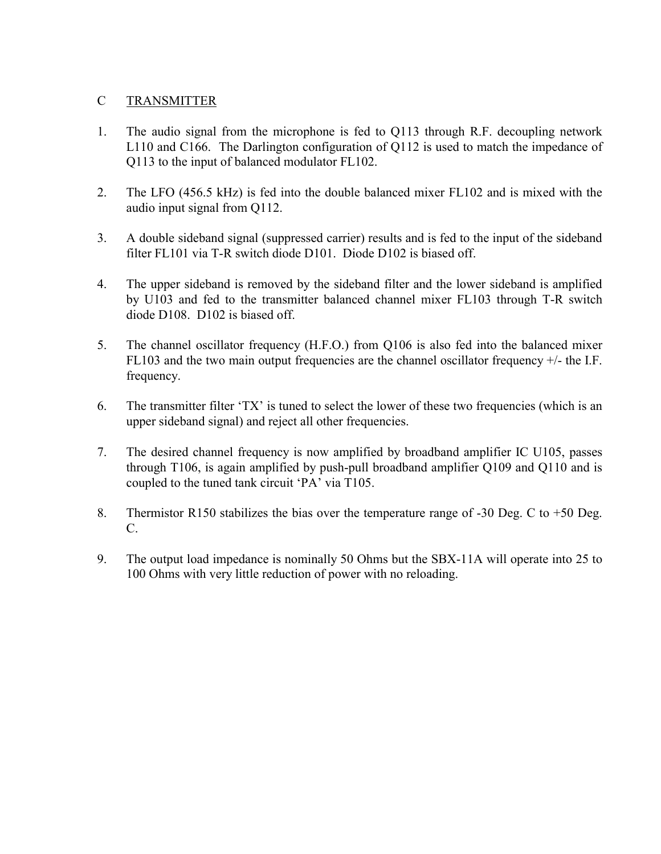#### C TRANSMITTER

- 1. The audio signal from the microphone is fed to Q113 through R.F. decoupling network L110 and C166. The Darlington configuration of Q112 is used to match the impedance of Q113 to the input of balanced modulator FL102.
- 2. The LFO (456.5 kHz) is fed into the double balanced mixer FL102 and is mixed with the audio input signal from Q112.
- 3. A double sideband signal (suppressed carrier) results and is fed to the input of the sideband filter FL101 via T-R switch diode D101. Diode D102 is biased off.
- 4. The upper sideband is removed by the sideband filter and the lower sideband is amplified by U103 and fed to the transmitter balanced channel mixer FL103 through T-R switch diode D108. D102 is biased off.
- 5. The channel oscillator frequency (H.F.O.) from Q106 is also fed into the balanced mixer FL103 and the two main output frequencies are the channel oscillator frequency +/- the I.F. frequency.
- 6. The transmitter filter 'TX' is tuned to select the lower of these two frequencies (which is an upper sideband signal) and reject all other frequencies.
- 7. The desired channel frequency is now amplified by broadband amplifier IC U105, passes through T106, is again amplified by push-pull broadband amplifier Q109 and Q110 and is coupled to the tuned tank circuit 'PA' via T105.
- 8. Thermistor R150 stabilizes the bias over the temperature range of -30 Deg. C to +50 Deg. C.
- 9. The output load impedance is nominally 50 Ohms but the SBX-11A will operate into 25 to 100 Ohms with very little reduction of power with no reloading.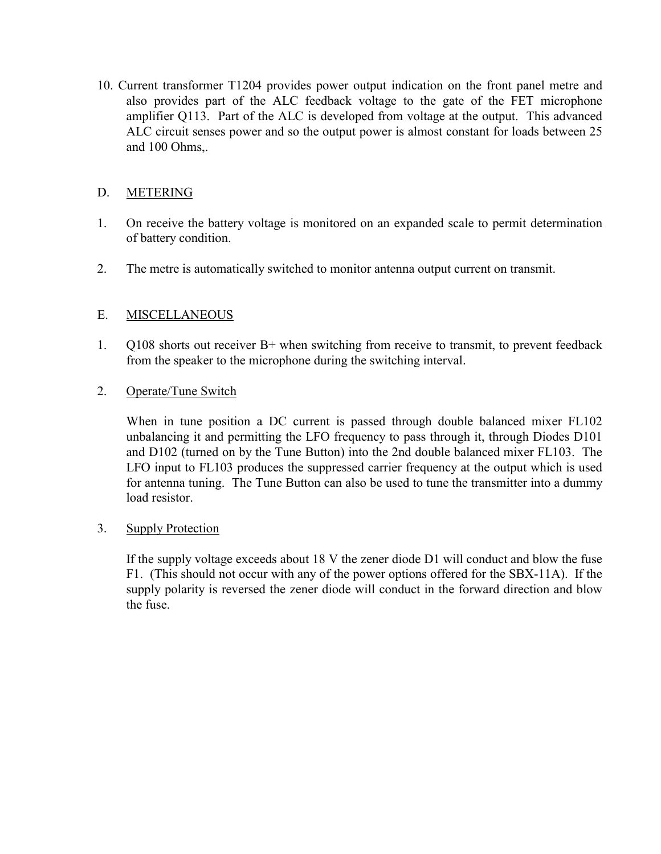10. Current transformer T1204 provides power output indication on the front panel metre and also provides part of the ALC feedback voltage to the gate of the FET microphone amplifier Q113. Part of the ALC is developed from voltage at the output. This advanced ALC circuit senses power and so the output power is almost constant for loads between 25 and 100 Ohms,.

#### D. METERING

- 1. On receive the battery voltage is monitored on an expanded scale to permit determination of battery condition.
- 2. The metre is automatically switched to monitor antenna output current on transmit.

#### E. MISCELLANEOUS

1. Q108 shorts out receiver B+ when switching from receive to transmit, to prevent feedback from the speaker to the microphone during the switching interval.

#### 2. Operate/Tune Switch

 When in tune position a DC current is passed through double balanced mixer FL102 unbalancing it and permitting the LFO frequency to pass through it, through Diodes D101 and D102 (turned on by the Tune Button) into the 2nd double balanced mixer FL103. The LFO input to FL103 produces the suppressed carrier frequency at the output which is used for antenna tuning. The Tune Button can also be used to tune the transmitter into a dummy load resistor.

#### 3. Supply Protection

 If the supply voltage exceeds about 18 V the zener diode D1 will conduct and blow the fuse F1. (This should not occur with any of the power options offered for the SBX-11A). If the supply polarity is reversed the zener diode will conduct in the forward direction and blow the fuse.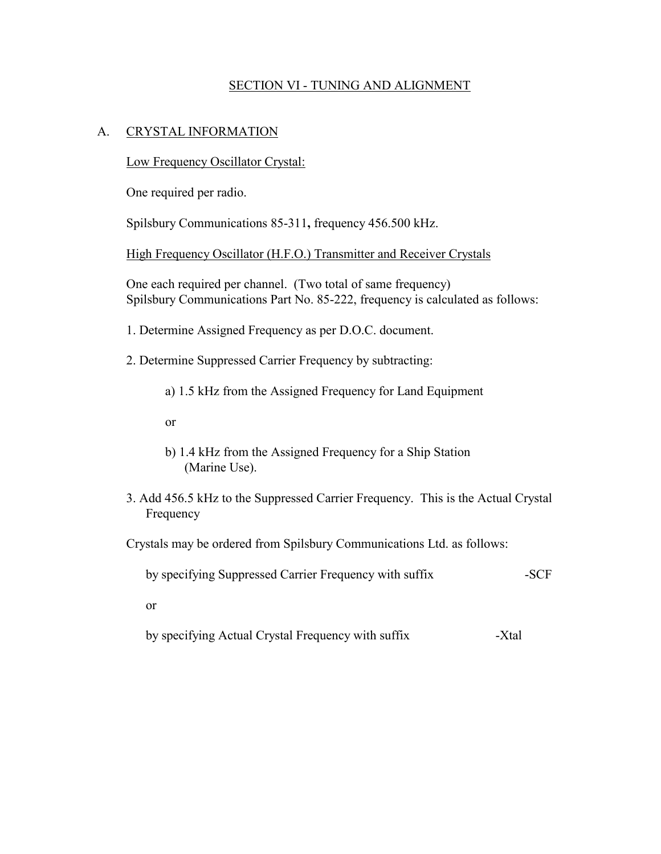#### SECTION VI - TUNING AND ALIGNMENT

#### A. CRYSTAL INFORMATION

Low Frequency Oscillator Crystal:

One required per radio.

Spilsbury Communications 85-311**,** frequency 456.500 kHz.

High Frequency Oscillator (H.F.O.) Transmitter and Receiver Crystals

 One each required per channel. (Two total of same frequency) Spilsbury Communications Part No. 85-222, frequency is calculated as follows:

1. Determine Assigned Frequency as per D.O.C. document.

2. Determine Suppressed Carrier Frequency by subtracting:

a) 1.5 kHz from the Assigned Frequency for Land Equipment

or

- b) 1.4 kHz from the Assigned Frequency for a Ship Station (Marine Use).
- 3. Add 456.5 kHz to the Suppressed Carrier Frequency. This is the Actual Crystal Frequency

Crystals may be ordered from Spilsbury Communications Ltd. as follows:

by specifying Suppressed Carrier Frequency with suffix -SCF

or

by specifying Actual Crystal Frequency with suffix -Xtal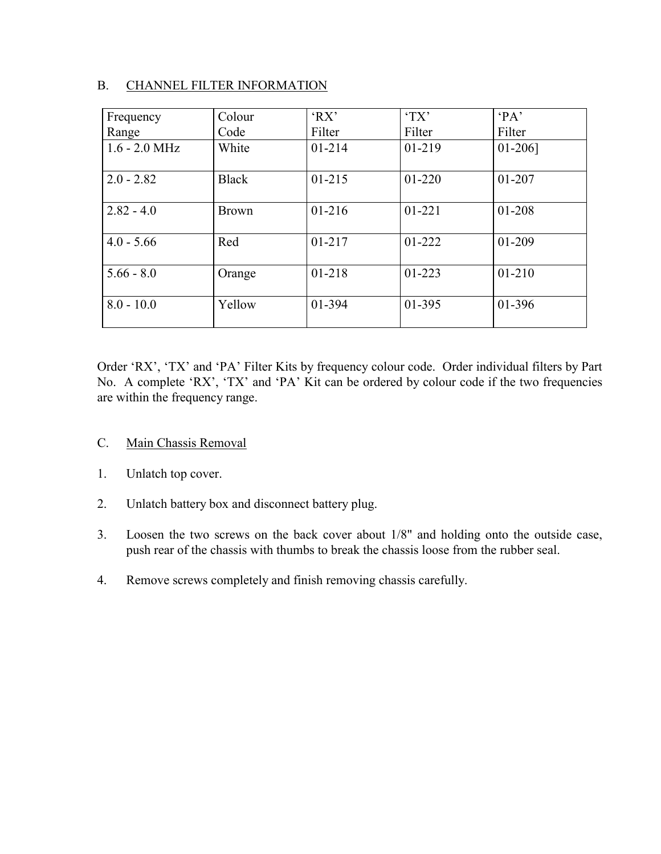#### B. CHANNEL FILTER INFORMATION

| Frequency       | Colour       | 'RX'       | T X'       | $P_A$      |
|-----------------|--------------|------------|------------|------------|
| Range           | Code         | Filter     | Filter     | Filter     |
| $1.6 - 2.0$ MHz | White        | $01 - 214$ | $01 - 219$ | $01-206$ ] |
| $2.0 - 2.82$    | <b>Black</b> | $01 - 215$ | $01 - 220$ | 01-207     |
| $2.82 - 4.0$    | <b>Brown</b> | $01 - 216$ | $01 - 221$ | 01-208     |
| $4.0 - 5.66$    | Red          | $01 - 217$ | 01-222     | 01-209     |
| $5.66 - 8.0$    | Orange       | 01-218     | $01 - 223$ | $01 - 210$ |
| $8.0 - 10.0$    | Yellow       | 01-394     | 01-395     | 01-396     |

Order 'RX', 'TX' and 'PA' Filter Kits by frequency colour code. Order individual filters by Part No. A complete 'RX', 'TX' and 'PA' Kit can be ordered by colour code if the two frequencies are within the frequency range.

- C. Main Chassis Removal
- 1. Unlatch top cover.
- 2. Unlatch battery box and disconnect battery plug.
- 3. Loosen the two screws on the back cover about 1/8" and holding onto the outside case, push rear of the chassis with thumbs to break the chassis loose from the rubber seal.
- 4. Remove screws completely and finish removing chassis carefully.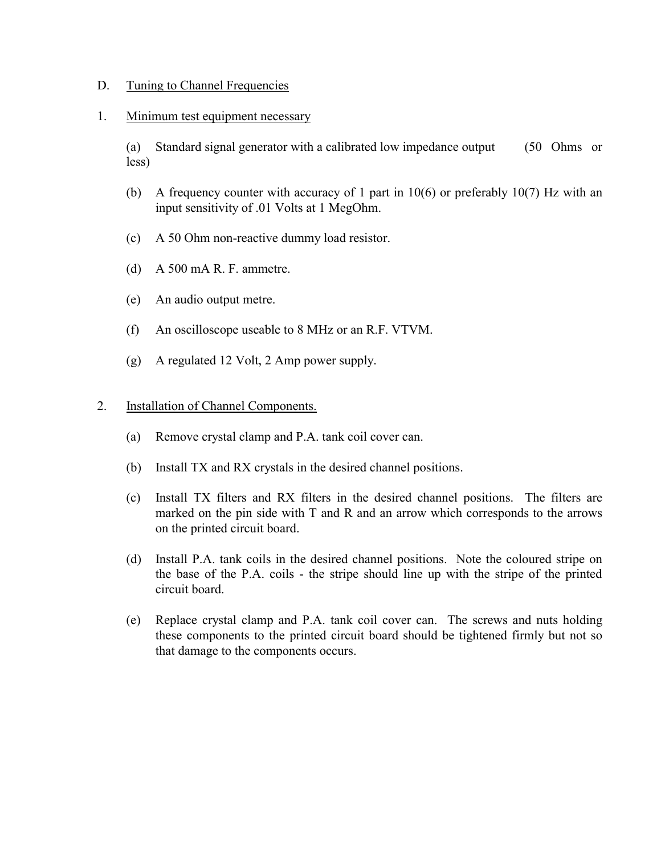#### D. Tuning to Channel Frequencies

#### 1. Minimum test equipment necessary

 (a) Standard signal generator with a calibrated low impedance output (50 Ohms or less)

- (b) A frequency counter with accuracy of 1 part in 10(6) or preferably 10(7) Hz with an input sensitivity of .01 Volts at 1 MegOhm.
- (c) A 50 Ohm non-reactive dummy load resistor.
- (d) A 500 mA R. F. ammetre.
- (e) An audio output metre.
- (f) An oscilloscope useable to 8 MHz or an R.F. VTVM.
- (g) A regulated 12 Volt, 2 Amp power supply.

#### 2. Installation of Channel Components.

- (a) Remove crystal clamp and P.A. tank coil cover can.
- (b) Install TX and RX crystals in the desired channel positions.
- (c) Install TX filters and RX filters in the desired channel positions. The filters are marked on the pin side with T and R and an arrow which corresponds to the arrows on the printed circuit board.
- (d) Install P.A. tank coils in the desired channel positions. Note the coloured stripe on the base of the P.A. coils - the stripe should line up with the stripe of the printed circuit board.
- (e) Replace crystal clamp and P.A. tank coil cover can. The screws and nuts holding these components to the printed circuit board should be tightened firmly but not so that damage to the components occurs.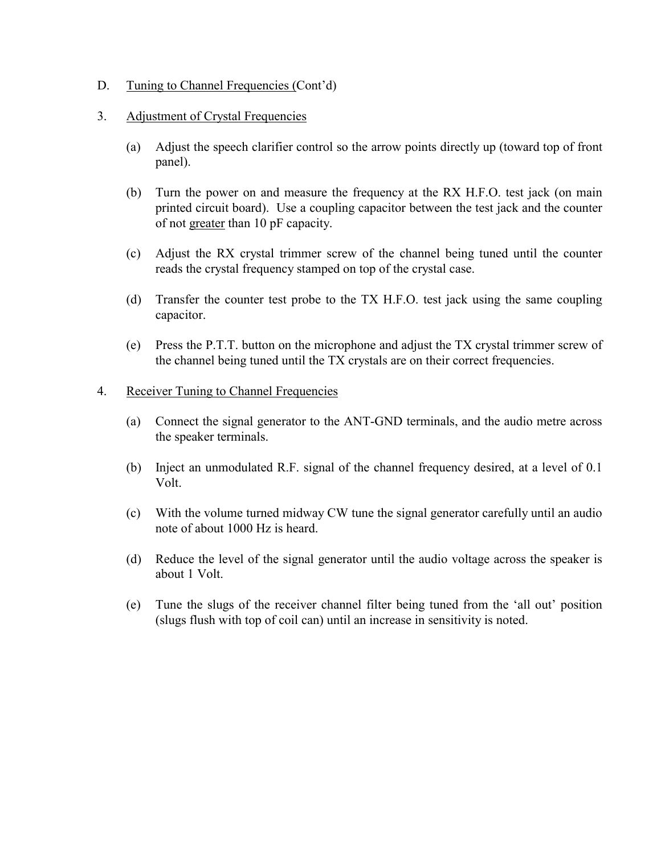#### D. Tuning to Channel Frequencies (Cont'd)

#### 3. Adjustment of Crystal Frequencies

- (a) Adjust the speech clarifier control so the arrow points directly up (toward top of front panel).
- (b) Turn the power on and measure the frequency at the RX H.F.O. test jack (on main printed circuit board). Use a coupling capacitor between the test jack and the counter of not greater than 10 pF capacity.
- (c) Adjust the RX crystal trimmer screw of the channel being tuned until the counter reads the crystal frequency stamped on top of the crystal case.
- (d) Transfer the counter test probe to the TX H.F.O. test jack using the same coupling capacitor.
- (e) Press the P.T.T. button on the microphone and adjust the TX crystal trimmer screw of the channel being tuned until the TX crystals are on their correct frequencies.

#### 4. Receiver Tuning to Channel Frequencies

- (a) Connect the signal generator to the ANT-GND terminals, and the audio metre across the speaker terminals.
- (b) Inject an unmodulated R.F. signal of the channel frequency desired, at a level of 0.1 Volt.
- (c) With the volume turned midway CW tune the signal generator carefully until an audio note of about 1000 Hz is heard.
- (d) Reduce the level of the signal generator until the audio voltage across the speaker is about 1 Volt.
- (e) Tune the slugs of the receiver channel filter being tuned from the 'all out' position (slugs flush with top of coil can) until an increase in sensitivity is noted.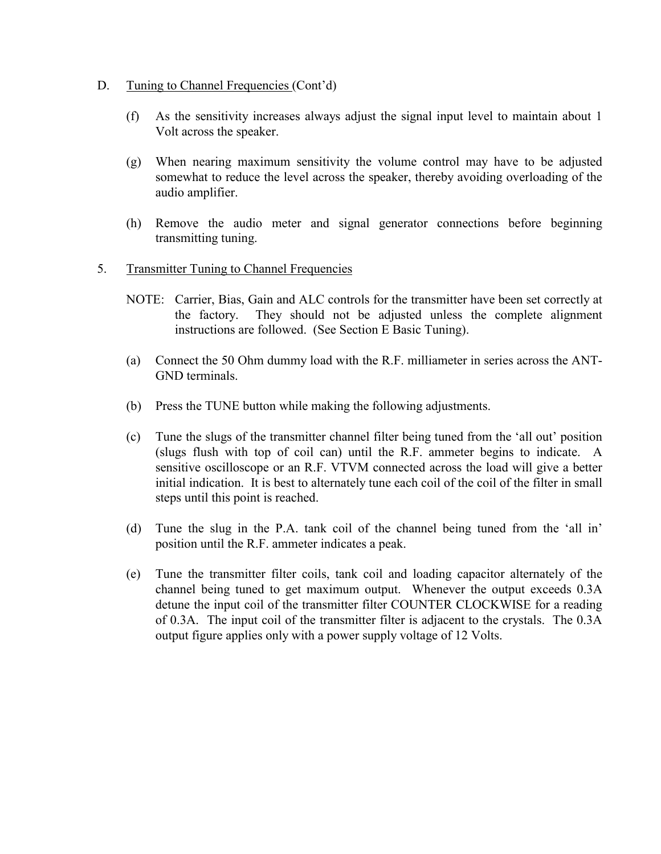- D. Tuning to Channel Frequencies (Cont'd)
	- (f) As the sensitivity increases always adjust the signal input level to maintain about 1 Volt across the speaker.
	- (g) When nearing maximum sensitivity the volume control may have to be adjusted somewhat to reduce the level across the speaker, thereby avoiding overloading of the audio amplifier.
	- (h) Remove the audio meter and signal generator connections before beginning transmitting tuning.
- 5. Transmitter Tuning to Channel Frequencies
	- NOTE: Carrier, Bias, Gain and ALC controls for the transmitter have been set correctly at the factory. They should not be adjusted unless the complete alignment instructions are followed. (See Section E Basic Tuning).
	- (a) Connect the 50 Ohm dummy load with the R.F. milliameter in series across the ANT-GND terminals.
	- (b) Press the TUNE button while making the following adjustments.
	- (c) Tune the slugs of the transmitter channel filter being tuned from the 'all out' position (slugs flush with top of coil can) until the R.F. ammeter begins to indicate. A sensitive oscilloscope or an R.F. VTVM connected across the load will give a better initial indication. It is best to alternately tune each coil of the coil of the filter in small steps until this point is reached.
	- (d) Tune the slug in the P.A. tank coil of the channel being tuned from the 'all in' position until the R.F. ammeter indicates a peak.
	- (e) Tune the transmitter filter coils, tank coil and loading capacitor alternately of the channel being tuned to get maximum output. Whenever the output exceeds 0.3A detune the input coil of the transmitter filter COUNTER CLOCKWISE for a reading of 0.3A. The input coil of the transmitter filter is adjacent to the crystals. The 0.3A output figure applies only with a power supply voltage of 12 Volts.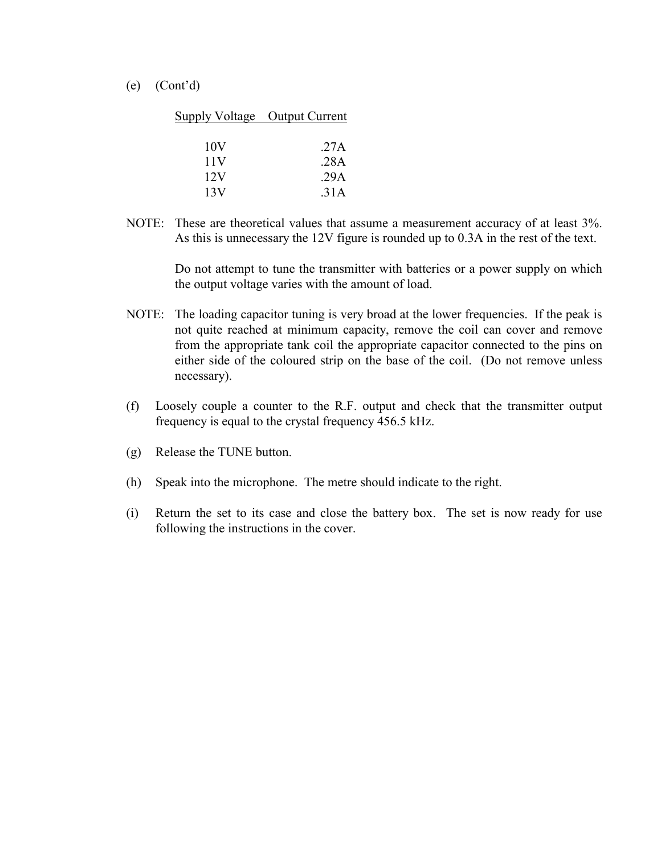(e) (Cont'd)

| Supply Voltage Output Current |      |
|-------------------------------|------|
|                               |      |
| 10V                           | .27A |
| 11 <sub>V</sub>               | .28A |
| 12V                           | .29A |
| 13V                           | 31 A |

NOTE: These are theoretical values that assume a measurement accuracy of at least 3%. As this is unnecessary the 12V figure is rounded up to 0.3A in the rest of the text.

> Do not attempt to tune the transmitter with batteries or a power supply on which the output voltage varies with the amount of load.

- NOTE: The loading capacitor tuning is very broad at the lower frequencies. If the peak is not quite reached at minimum capacity, remove the coil can cover and remove from the appropriate tank coil the appropriate capacitor connected to the pins on either side of the coloured strip on the base of the coil. (Do not remove unless necessary).
- (f) Loosely couple a counter to the R.F. output and check that the transmitter output frequency is equal to the crystal frequency 456.5 kHz.
- (g) Release the TUNE button.
- (h) Speak into the microphone. The metre should indicate to the right.
- (i) Return the set to its case and close the battery box. The set is now ready for use following the instructions in the cover.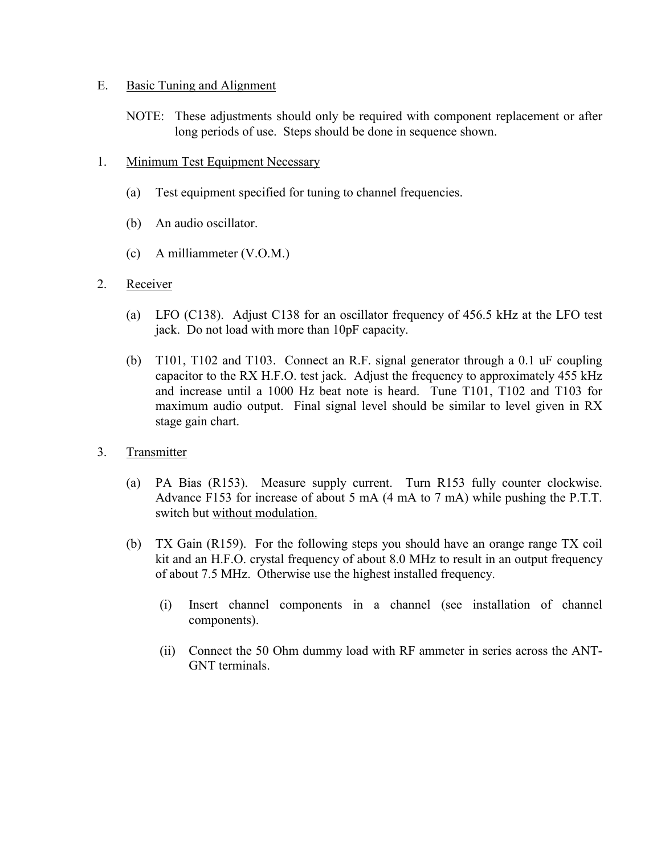#### E. Basic Tuning and Alignment

- NOTE: These adjustments should only be required with component replacement or after long periods of use. Steps should be done in sequence shown.
- 1. Minimum Test Equipment Necessary
	- (a) Test equipment specified for tuning to channel frequencies.
	- (b) An audio oscillator.
	- (c) A milliammeter (V.O.M.)
- 2. Receiver
	- (a) LFO (C138). Adjust C138 for an oscillator frequency of 456.5 kHz at the LFO test jack. Do not load with more than 10pF capacity.
	- (b) T101, T102 and T103. Connect an R.F. signal generator through a 0.1 uF coupling capacitor to the RX H.F.O. test jack. Adjust the frequency to approximately 455 kHz and increase until a 1000 Hz beat note is heard. Tune T101, T102 and T103 for maximum audio output. Final signal level should be similar to level given in RX stage gain chart.
- 3. Transmitter
	- (a) PA Bias (R153). Measure supply current. Turn R153 fully counter clockwise. Advance F153 for increase of about 5 mA (4 mA to 7 mA) while pushing the P.T.T. switch but without modulation.
	- (b) TX Gain (R159). For the following steps you should have an orange range TX coil kit and an H.F.O. crystal frequency of about 8.0 MHz to result in an output frequency of about 7.5 MHz. Otherwise use the highest installed frequency.
		- (i) Insert channel components in a channel (see installation of channel components).
		- (ii) Connect the 50 Ohm dummy load with RF ammeter in series across the ANT-GNT terminals.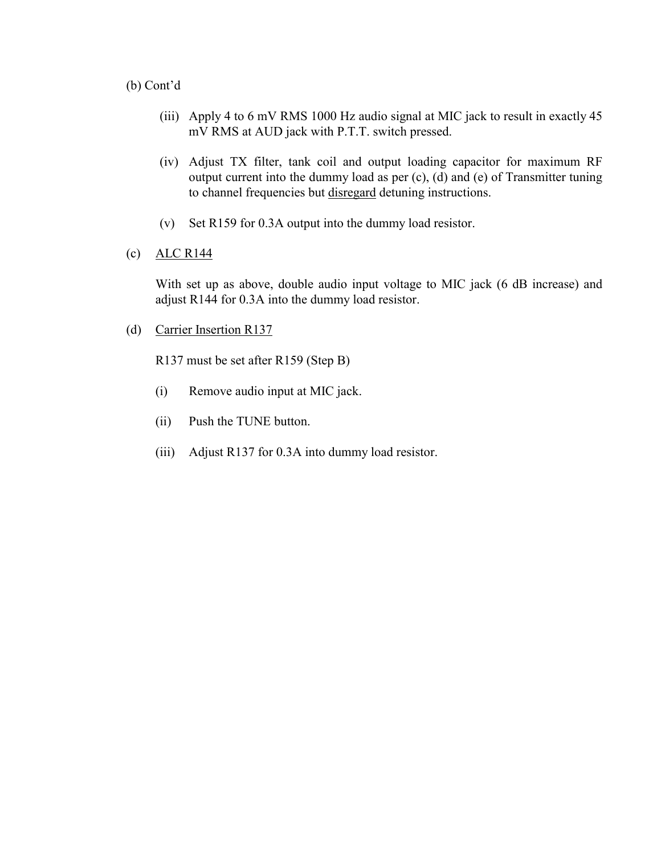#### (b) Cont'd

- (iii) Apply 4 to 6 mV RMS 1000 Hz audio signal at MIC jack to result in exactly 45 mV RMS at AUD jack with P.T.T. switch pressed.
- (iv) Adjust TX filter, tank coil and output loading capacitor for maximum RF output current into the dummy load as per (c), (d) and (e) of Transmitter tuning to channel frequencies but disregard detuning instructions.
- (v) Set R159 for 0.3A output into the dummy load resistor.
- (c)  $ALC R144$

With set up as above, double audio input voltage to MIC jack (6 dB increase) and adjust R144 for 0.3A into the dummy load resistor.

(d) Carrier Insertion R137

R137 must be set after R159 (Step B)

- (i) Remove audio input at MIC jack.
- (ii) Push the TUNE button.
- (iii) Adjust R137 for 0.3A into dummy load resistor.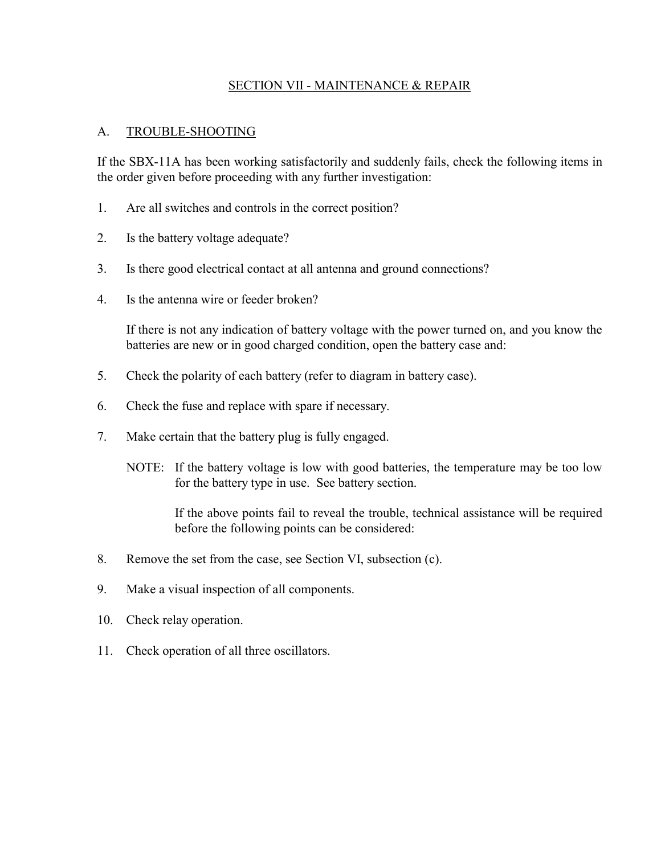#### SECTION VII - MAINTENANCE & REPAIR

#### A. TROUBLE-SHOOTING

If the SBX-11A has been working satisfactorily and suddenly fails, check the following items in the order given before proceeding with any further investigation:

- 1. Are all switches and controls in the correct position?
- 2. Is the battery voltage adequate?
- 3. Is there good electrical contact at all antenna and ground connections?
- 4. Is the antenna wire or feeder broken?

 If there is not any indication of battery voltage with the power turned on, and you know the batteries are new or in good charged condition, open the battery case and:

- 5. Check the polarity of each battery (refer to diagram in battery case).
- 6. Check the fuse and replace with spare if necessary.
- 7. Make certain that the battery plug is fully engaged.
	- NOTE: If the battery voltage is low with good batteries, the temperature may be too low for the battery type in use. See battery section.

 If the above points fail to reveal the trouble, technical assistance will be required before the following points can be considered:

- 8. Remove the set from the case, see Section VI, subsection (c).
- 9. Make a visual inspection of all components.
- 10. Check relay operation.
- 11. Check operation of all three oscillators.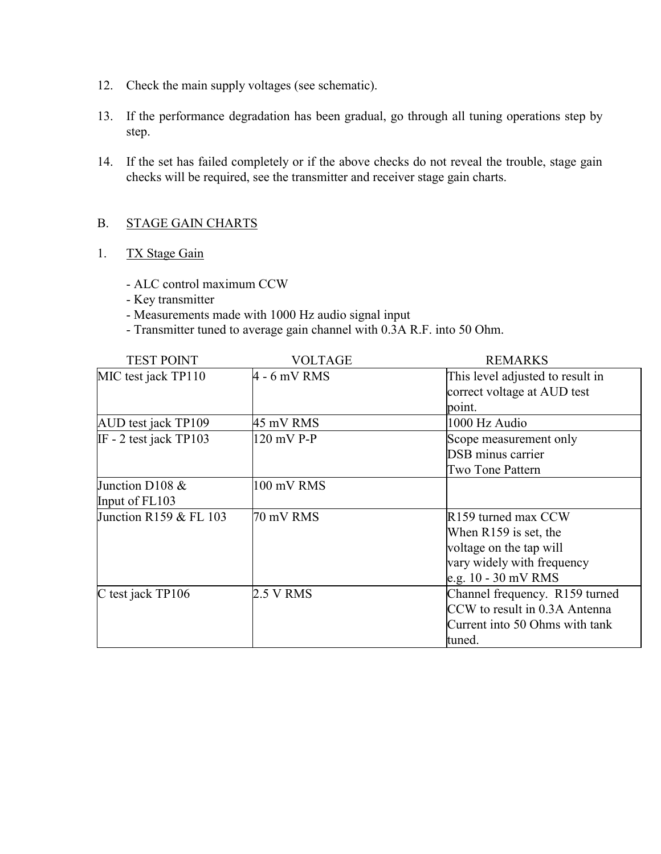- 12. Check the main supply voltages (see schematic).
- 13. If the performance degradation has been gradual, go through all tuning operations step by step.
- 14. If the set has failed completely or if the above checks do not reveal the trouble, stage gain checks will be required, see the transmitter and receiver stage gain charts.

#### B. STAGE GAIN CHARTS

#### 1. TX Stage Gain

- ALC control maximum CCW
- Key transmitter
- Measurements made with 1000 Hz audio signal input
- Transmitter tuned to average gain channel with 0.3A R.F. into 50 Ohm.

| <b>TEST POINT</b>        | VOLTAGE        | <b>REMARKS</b>                   |
|--------------------------|----------------|----------------------------------|
| MIC test jack TP110      | $4 - 6$ mV RMS | This level adjusted to result in |
|                          |                | correct voltage at AUD test      |
|                          |                | point.                           |
| AUD test jack TP109      | 45 mV RMS      | 1000 Hz Audio                    |
| IF - 2 test jack $TP103$ | 120 mV P-P     | Scope measurement only           |
|                          |                | <b>DSB</b> minus carrier         |
|                          |                | <b>Two Tone Pattern</b>          |
| Junction D108 &          | 100 mV RMS     |                                  |
| Input of FL103           |                |                                  |
| Junction R159 & FL 103   | 70 mV RMS      | R159 turned max CCW              |
|                          |                | When R159 is set, the            |
|                          |                | voltage on the tap will          |
|                          |                | vary widely with frequency       |
|                          |                | e.g. $10 - 30$ mV RMS            |
| C test jack TP106        | 2.5 V RMS      | Channel frequency. R159 turned   |
|                          |                | CCW to result in 0.3A Antenna    |
|                          |                | Current into 50 Ohms with tank   |
|                          |                | tuned.                           |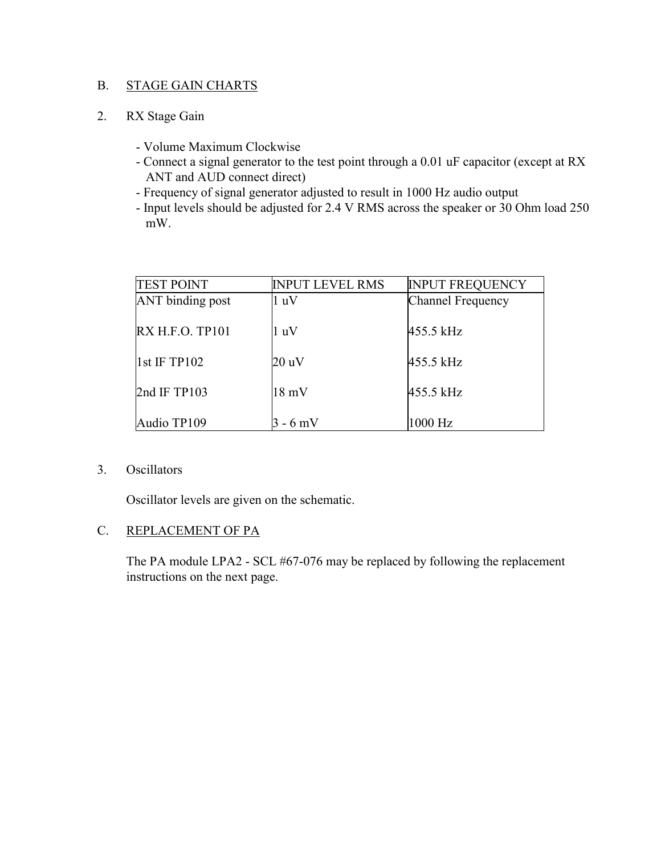#### B. STAGE GAIN CHARTS

#### 2. RX Stage Gain

- Volume Maximum Clockwise
- Connect a signal generator to the test point through a 0.01 uF capacitor (except at RX ANT and AUD connect direct)
- Frequency of signal generator adjusted to result in 1000 Hz audio output
- Input levels should be adjusted for 2.4 V RMS across the speaker or 30 Ohm load 250 mW.

| <b>TEST POINT</b>       | <b>INPUT LEVEL RMS</b> | <b>INPUT FREQUENCY</b>   |
|-------------------------|------------------------|--------------------------|
| <b>ANT</b> binding post | 1 uV                   | <b>Channel Frequency</b> |
| RX H.F.O. TP101         | 1 uV                   | 455.5 kHz                |
| $1st$ IF TP102          | 20 uV                  | 455.5 kHz                |
| 2nd IF TP103            | $18 \text{ mV}$        | 455.5 kHz                |
| Audio TP109             | $3 - 6$ mV             | 1000 Hz                  |

#### 3. Oscillators

Oscillator levels are given on the schematic.

#### C. REPLACEMENT OF PA

The PA module LPA2 - SCL #67-076 may be replaced by following the replacement instructions on the next page.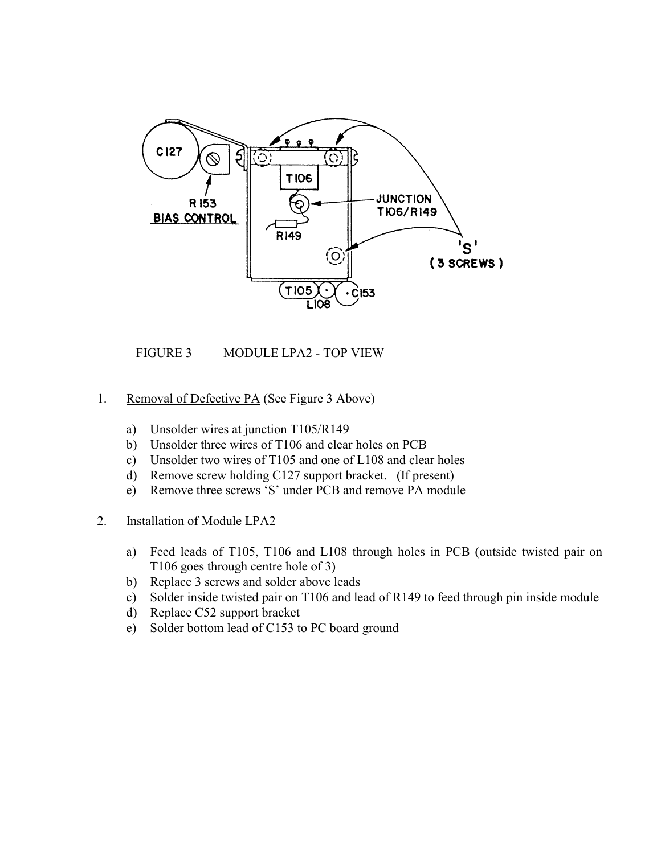

FIGURE 3 MODULE LPA2 - TOP VIEW

- 1. Removal of Defective PA (See Figure 3 Above)
	- a) Unsolder wires at junction T105/R149
	- b) Unsolder three wires of T106 and clear holes on PCB
	- c) Unsolder two wires of T105 and one of L108 and clear holes
	- d) Remove screw holding C127 support bracket. (If present)
	- e) Remove three screws 'S' under PCB and remove PA module

#### 2. Installation of Module LPA2

- a) Feed leads of T105, T106 and L108 through holes in PCB (outside twisted pair on T106 goes through centre hole of 3)
- b) Replace 3 screws and solder above leads
- c) Solder inside twisted pair on T106 and lead of R149 to feed through pin inside module
- d) Replace C52 support bracket
- e) Solder bottom lead of C153 to PC board ground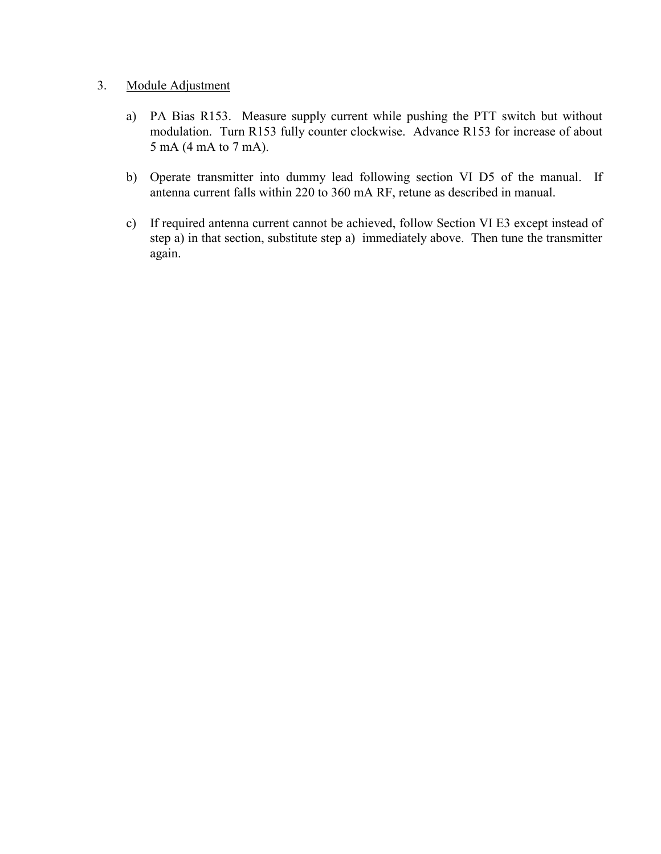#### 3. Module Adjustment

- a) PA Bias R153. Measure supply current while pushing the PTT switch but without modulation. Turn R153 fully counter clockwise. Advance R153 for increase of about 5 mA (4 mA to 7 mA).
- b) Operate transmitter into dummy lead following section VI D5 of the manual. If antenna current falls within 220 to 360 mA RF, retune as described in manual.
- c) If required antenna current cannot be achieved, follow Section VI E3 except instead of step a) in that section, substitute step a) immediately above. Then tune the transmitter again.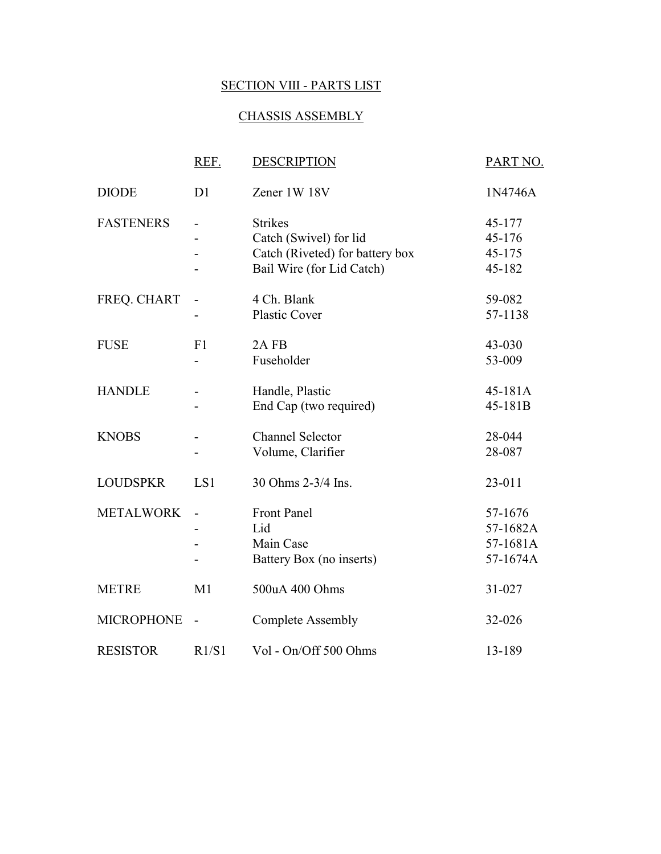### SECTION VIII - PARTS LIST

#### CHASSIS ASSEMBLY

|                   | REF.           | <b>DESCRIPTION</b>                                                                                       | PART NO.                                    |
|-------------------|----------------|----------------------------------------------------------------------------------------------------------|---------------------------------------------|
| <b>DIODE</b>      | D <sub>1</sub> | Zener 1W 18V                                                                                             | 1N4746A                                     |
| <b>FASTENERS</b>  |                | <b>Strikes</b><br>Catch (Swivel) for lid<br>Catch (Riveted) for battery box<br>Bail Wire (for Lid Catch) | 45-177<br>45-176<br>45-175<br>45-182        |
| FREQ. CHART       |                | 4 Ch. Blank<br><b>Plastic Cover</b>                                                                      | 59-082<br>57-1138                           |
| <b>FUSE</b>       | F1             | 2AFB<br>Fuseholder                                                                                       | 43-030<br>53-009                            |
| <b>HANDLE</b>     |                | Handle, Plastic<br>End Cap (two required)                                                                | 45-181A<br>45-181B                          |
| <b>KNOBS</b>      |                | <b>Channel Selector</b><br>Volume, Clarifier                                                             | 28-044<br>28-087                            |
| <b>LOUDSPKR</b>   | LS1            | 30 Ohms 2-3/4 Ins.                                                                                       | 23-011                                      |
| <b>METALWORK</b>  |                | Front Panel<br>Lid<br>Main Case<br>Battery Box (no inserts)                                              | 57-1676<br>57-1682A<br>57-1681A<br>57-1674A |
| <b>METRE</b>      | M1             | 500uA 400 Ohms                                                                                           | 31-027                                      |
| <b>MICROPHONE</b> |                | <b>Complete Assembly</b>                                                                                 | 32-026                                      |
| <b>RESISTOR</b>   | R1/S1          | Vol - On/Off 500 Ohms                                                                                    | 13-189                                      |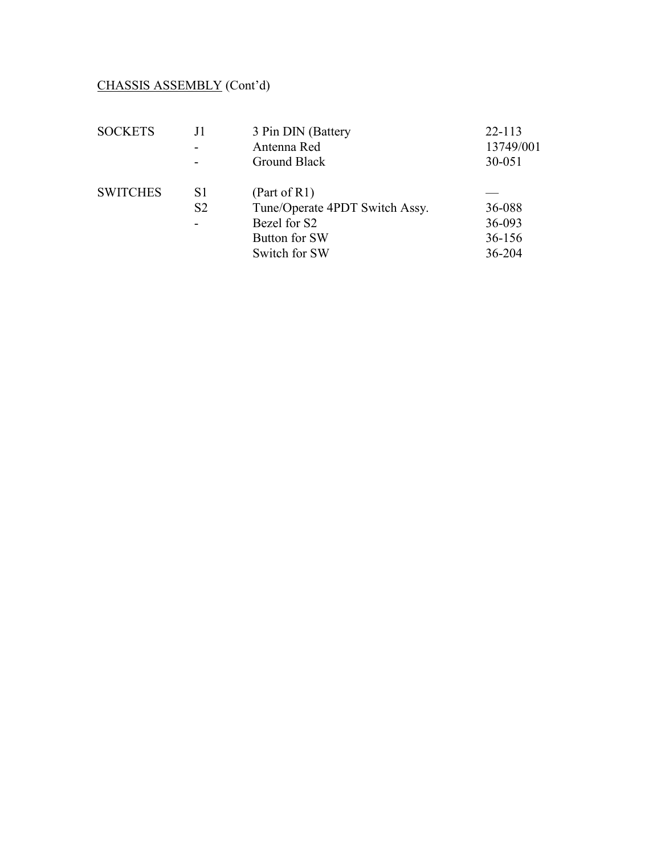# CHASSIS ASSEMBLY (Cont'd)

| <b>SOCKETS</b>  | J1             | 3 Pin DIN (Battery             | $22 - 113$ |
|-----------------|----------------|--------------------------------|------------|
|                 |                | Antenna Red                    | 13749/001  |
|                 |                | Ground Black                   | 30-051     |
| <b>SWITCHES</b> | S <sub>1</sub> | (Part of R1)                   |            |
|                 | S <sub>2</sub> | Tune/Operate 4PDT Switch Assy. | 36-088     |
|                 |                | Bezel for S2                   | 36-093     |
|                 |                | Button for SW                  | 36-156     |
|                 |                | Switch for SW                  | 36-204     |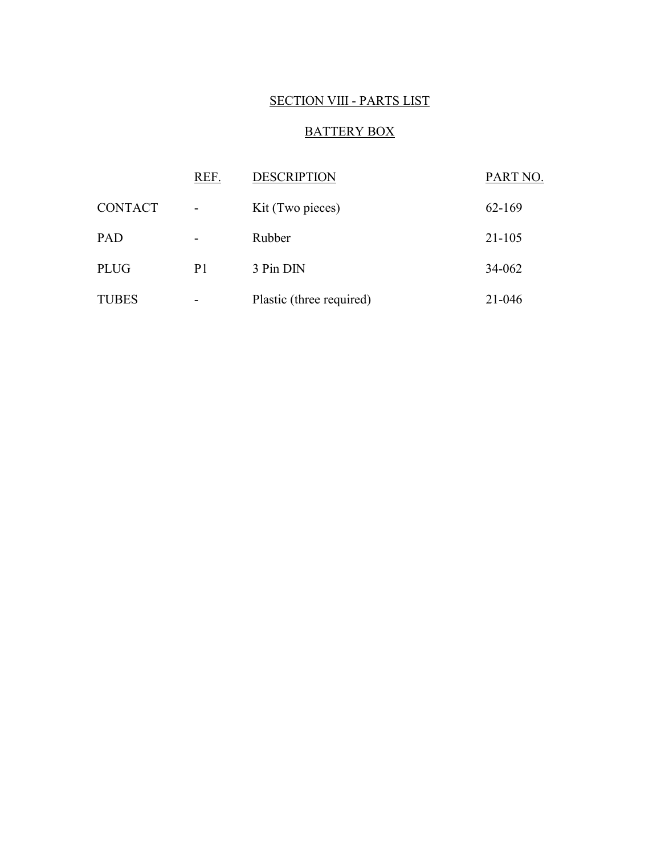#### SECTION VIII - PARTS LIST

#### BATTERY BOX

|                | REF.                     | <b>DESCRIPTION</b>       | PART NO.   |
|----------------|--------------------------|--------------------------|------------|
| <b>CONTACT</b> | $\overline{\phantom{a}}$ | Kit (Two pieces)         | 62-169     |
| PAD            |                          | Rubber                   | $21 - 105$ |
| <b>PLUG</b>    | P <sub>1</sub>           | 3 Pin DIN                | 34-062     |
| <b>TUBES</b>   | $\overline{\phantom{a}}$ | Plastic (three required) | 21-046     |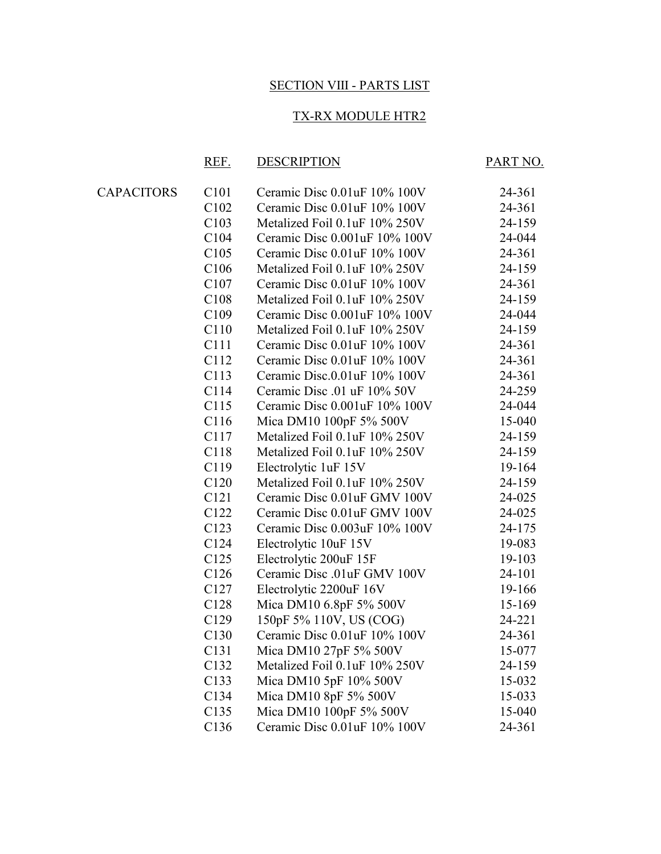#### SECTION VIII - PARTS LIST

#### TX-RX MODULE HTR2

#### REF. DESCRIPTION PART NO.

| <b>CAPACITORS</b> | C <sub>101</sub> | Ceramic Disc 0.01uF 10% 100V  | 24-361 |
|-------------------|------------------|-------------------------------|--------|
|                   | C <sub>102</sub> | Ceramic Disc 0.01uF 10% 100V  | 24-361 |
|                   | C103             | Metalized Foil 0.1uF 10% 250V | 24-159 |
|                   | C <sub>104</sub> | Ceramic Disc 0.001uF 10% 100V | 24-044 |
|                   | C <sub>105</sub> | Ceramic Disc 0.01uF 10% 100V  | 24-361 |
|                   | C106             | Metalized Foil 0.1uF 10% 250V | 24-159 |
|                   | C <sub>107</sub> | Ceramic Disc 0.01uF 10% 100V  | 24-361 |
|                   | C108             | Metalized Foil 0.1uF 10% 250V | 24-159 |
|                   | C <sub>109</sub> | Ceramic Disc 0.001uF 10% 100V | 24-044 |
|                   | C <sub>110</sub> | Metalized Foil 0.1uF 10% 250V | 24-159 |
|                   | C <sub>111</sub> | Ceramic Disc 0.01uF 10% 100V  | 24-361 |
|                   | C112             | Ceramic Disc 0.01uF 10% 100V  | 24-361 |
|                   | C113             | Ceramic Disc.0.01uF 10% 100V  | 24-361 |
|                   | C114             | Ceramic Disc .01 uF 10% 50V   | 24-259 |
|                   | C115             | Ceramic Disc 0.001uF 10% 100V | 24-044 |
|                   | C116             | Mica DM10 100pF 5% 500V       | 15-040 |
|                   | C117             | Metalized Foil 0.1uF 10% 250V | 24-159 |
|                   | C118             | Metalized Foil 0.1uF 10% 250V | 24-159 |
|                   | C119             | Electrolytic 1uF 15V          | 19-164 |
|                   | C <sub>120</sub> | Metalized Foil 0.1uF 10% 250V | 24-159 |
|                   | C <sub>121</sub> | Ceramic Disc 0.01uF GMV 100V  | 24-025 |
|                   | C122             | Ceramic Disc 0.01uF GMV 100V  | 24-025 |
|                   | C <sub>123</sub> | Ceramic Disc 0.003uF 10% 100V | 24-175 |
|                   | C124             | Electrolytic 10uF 15V         | 19-083 |
|                   | C125             | Electrolytic 200uF 15F        | 19-103 |
|                   | C126             | Ceramic Disc .01uF GMV 100V   | 24-101 |
|                   | C <sub>127</sub> | Electrolytic 2200uF 16V       | 19-166 |
|                   | C <sub>128</sub> | Mica DM10 6.8pF 5% 500V       | 15-169 |
|                   | C <sub>129</sub> | 150pF 5% 110V, US (COG)       | 24-221 |
|                   | C <sub>130</sub> | Ceramic Disc 0.01uF 10% 100V  | 24-361 |
|                   | C <sub>131</sub> | Mica DM10 27pF 5% 500V        | 15-077 |
|                   | C <sub>132</sub> | Metalized Foil 0.1uF 10% 250V | 24-159 |
|                   | C <sub>133</sub> | Mica DM10 5pF 10% 500V        | 15-032 |
|                   | C <sub>134</sub> | Mica DM10 8pF 5% 500V         | 15-033 |
|                   | C <sub>135</sub> | Mica DM10 100pF 5% 500V       | 15-040 |
|                   | C136             | Ceramic Disc 0.01uF 10% 100V  | 24-361 |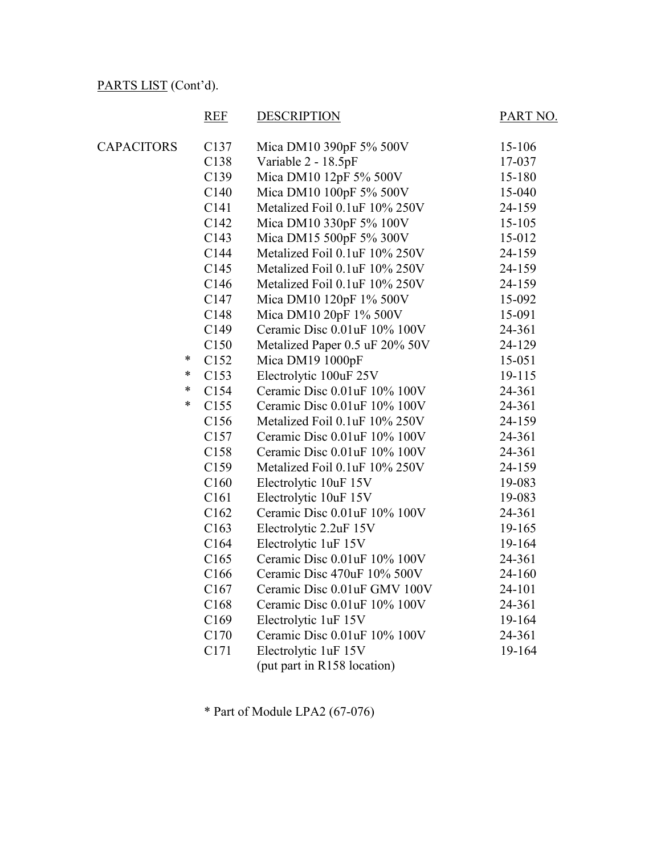# REF DESCRIPTION PART NO.

| <b>CAPACITORS</b> |        | C <sub>137</sub> | Mica DM10 390pF 5% 500V        | 15-106     |
|-------------------|--------|------------------|--------------------------------|------------|
|                   |        | C138             | Variable 2 - 18.5pF            | 17-037     |
|                   |        | C139             | Mica DM10 12pF 5% 500V         | 15-180     |
|                   |        | C140             | Mica DM10 100pF 5% 500V        | 15-040     |
|                   |        | C141             | Metalized Foil 0.1uF 10% 250V  | 24-159     |
|                   |        | C142             | Mica DM10 330pF 5% 100V        | $15 - 105$ |
|                   |        | C143             | Mica DM15 500pF 5% 300V        | 15-012     |
|                   |        | C144             | Metalized Foil 0.1uF 10% 250V  | 24-159     |
|                   |        | C <sub>145</sub> | Metalized Foil 0.1uF 10% 250V  | 24-159     |
|                   |        | C146             | Metalized Foil 0.1uF 10% 250V  | 24-159     |
|                   |        | C147             | Mica DM10 120pF 1% 500V        | 15-092     |
|                   |        | C148             | Mica DM10 20pF 1% 500V         | 15-091     |
|                   |        | C149             | Ceramic Disc 0.01uF 10% 100V   | 24-361     |
|                   |        | C <sub>150</sub> | Metalized Paper 0.5 uF 20% 50V | 24-129     |
|                   | *      | C <sub>152</sub> | Mica DM19 1000pF               | 15-051     |
|                   | $\ast$ | C <sub>153</sub> | Electrolytic 100uF 25V         | 19-115     |
|                   | $\ast$ | C154             | Ceramic Disc 0.01uF 10% 100V   | 24-361     |
|                   | $\ast$ | C <sub>155</sub> | Ceramic Disc 0.01uF 10% 100V   | 24-361     |
|                   |        | C <sub>156</sub> | Metalized Foil 0.1uF 10% 250V  | 24-159     |
|                   |        | C157             | Ceramic Disc 0.01uF 10% 100V   | 24-361     |
|                   |        | C158             | Ceramic Disc 0.01uF 10% 100V   | 24-361     |
|                   |        | C159             | Metalized Foil 0.1uF 10% 250V  | 24-159     |
|                   |        | C160             | Electrolytic 10uF 15V          | 19-083     |
|                   |        | C <sub>161</sub> | Electrolytic 10uF 15V          | 19-083     |
|                   |        | C162             | Ceramic Disc 0.01uF 10% 100V   | 24-361     |
|                   |        | C163             | Electrolytic 2.2uF 15V         | 19-165     |
|                   |        | C <sub>164</sub> | Electrolytic 1uF 15V           | 19-164     |
|                   |        | C165             | Ceramic Disc 0.01uF 10% 100V   | 24-361     |
|                   |        | C166             | Ceramic Disc 470uF 10% 500V    | 24-160     |
|                   |        | C <sub>167</sub> | Ceramic Disc 0.01uF GMV 100V   | 24-101     |
|                   |        | C168             | Ceramic Disc 0.01uF 10% 100V   | 24-361     |
|                   |        | C169             | Electrolytic 1uF 15V           | 19-164     |
|                   |        | C170             | Ceramic Disc 0.01uF 10% 100V   | 24-361     |
|                   |        | C171             | Electrolytic 1uF 15V           | 19-164     |
|                   |        |                  | (put part in R158 location)    |            |

\* Part of Module LPA2 (67-076)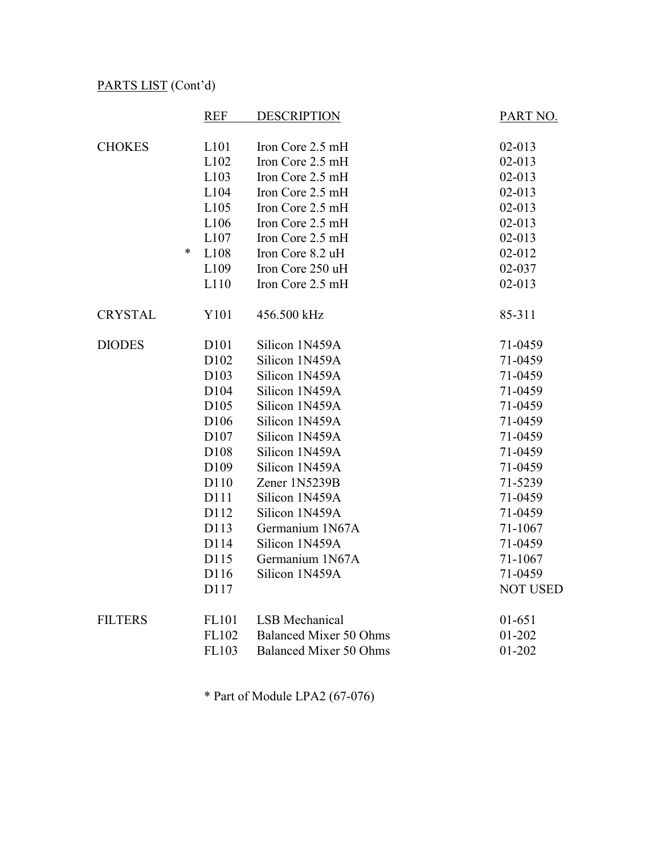|                | <b>REF</b>       | <b>DESCRIPTION</b>            | PART NO.        |
|----------------|------------------|-------------------------------|-----------------|
|                |                  |                               |                 |
| <b>CHOKES</b>  | L101             | Iron Core 2.5 mH              | $02 - 013$      |
|                | L102             | Iron Core 2.5 mH              | $02 - 013$      |
|                | L103             | Iron Core 2.5 mH              | $02 - 013$      |
|                | L104             | Iron Core 2.5 mH              | $02 - 013$      |
|                | L105             | Iron Core 2.5 mH              | $02 - 013$      |
|                | L106             | Iron Core 2.5 mH              | $02 - 013$      |
|                | L107             | Iron Core 2.5 mH              | $02 - 013$      |
|                | $\ast$<br>L108   | Iron Core 8.2 uH              | 02-012          |
|                | L109             | Iron Core 250 uH              | 02-037          |
|                | L110             | Iron Core 2.5 mH              | $02 - 013$      |
| <b>CRYSTAL</b> | Y101             | 456.500 kHz                   | 85-311          |
| <b>DIODES</b>  | D101             | Silicon 1N459A                | 71-0459         |
|                | D <sub>102</sub> | Silicon 1N459A                | 71-0459         |
|                | D <sub>103</sub> | Silicon 1N459A                | 71-0459         |
|                | D <sub>104</sub> | Silicon 1N459A                | 71-0459         |
|                | D105             | Silicon 1N459A                | 71-0459         |
|                | D106             | Silicon 1N459A                | 71-0459         |
|                | D <sub>107</sub> | Silicon 1N459A                | 71-0459         |
|                | D108             | Silicon 1N459A                | 71-0459         |
|                | D <sub>109</sub> | Silicon 1N459A                | 71-0459         |
|                | D110             | Zener 1N5239B                 | 71-5239         |
|                | D111             | Silicon 1N459A                | 71-0459         |
|                | D112             | Silicon 1N459A                | 71-0459         |
|                | D113             | Germanium 1N67A               | 71-1067         |
|                | D114             | Silicon 1N459A                | 71-0459         |
|                | D115             | Germanium 1N67A               | 71-1067         |
|                | D116             | Silicon 1N459A                | 71-0459         |
|                | D117             |                               | <b>NOT USED</b> |
| <b>FILTERS</b> | FL101            | <b>LSB</b> Mechanical         | $01 - 651$      |
|                | FL102            | <b>Balanced Mixer 50 Ohms</b> | 01-202          |
|                | FL103            | <b>Balanced Mixer 50 Ohms</b> | $01 - 202$      |

\* Part of Module LPA2 (67-076)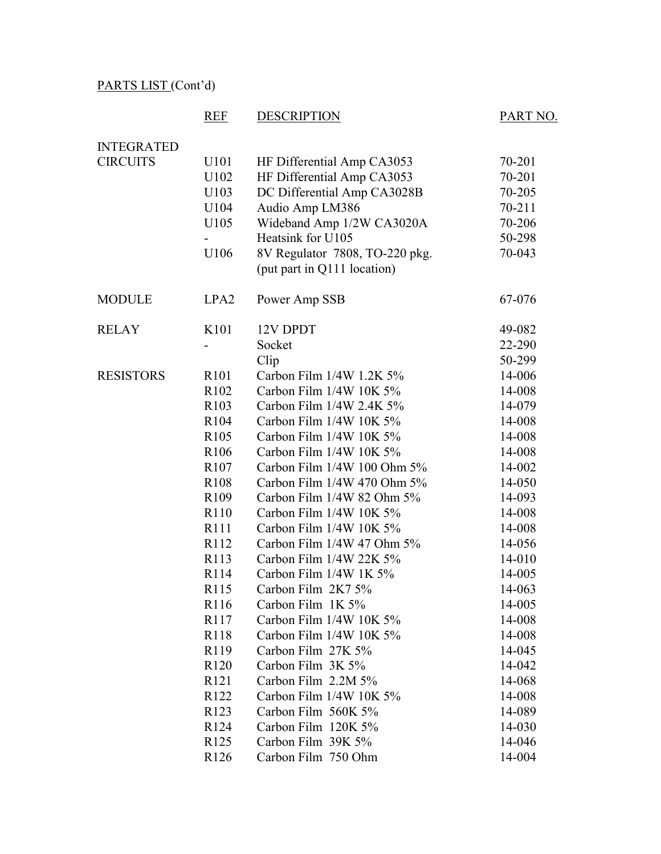# REF DESCRIPTION PART NO.

| <b>INTEGRATED</b> |                          |                                |        |
|-------------------|--------------------------|--------------------------------|--------|
| <b>CIRCUITS</b>   | U101                     | HF Differential Amp CA3053     | 70-201 |
|                   | U102                     | HF Differential Amp CA3053     | 70-201 |
|                   | U103                     | DC Differential Amp CA3028B    | 70-205 |
|                   | U104                     | Audio Amp LM386                | 70-211 |
|                   | U105                     | Wideband Amp 1/2W CA3020A      | 70-206 |
|                   | $\overline{\phantom{0}}$ | Heatsink for U105              | 50-298 |
|                   | U106                     | 8V Regulator 7808, TO-220 pkg. | 70-043 |
|                   |                          | (put part in Q111 location)    |        |
| <b>MODULE</b>     | LPA <sub>2</sub>         | Power Amp SSB                  | 67-076 |
| <b>RELAY</b>      | K <sub>101</sub>         | 12V DPDT                       | 49-082 |
|                   | -                        | Socket                         | 22-290 |
|                   |                          | Clip                           | 50-299 |
| <b>RESISTORS</b>  | R <sub>101</sub>         | Carbon Film 1/4W 1.2K 5%       | 14-006 |
|                   | R <sub>102</sub>         | Carbon Film 1/4W 10K 5%        | 14-008 |
|                   | R <sub>103</sub>         | Carbon Film $1/4W$ 2.4K 5%     | 14-079 |
|                   | R <sub>104</sub>         | Carbon Film 1/4W 10K 5%        | 14-008 |
|                   | R <sub>105</sub>         | Carbon Film 1/4W 10K 5%        | 14-008 |
|                   | R <sub>106</sub>         | Carbon Film 1/4W 10K 5%        | 14-008 |
|                   | R <sub>107</sub>         | Carbon Film 1/4W 100 Ohm 5%    | 14-002 |
|                   | R <sub>108</sub>         | Carbon Film 1/4W 470 Ohm 5%    | 14-050 |
|                   | R <sub>109</sub>         | Carbon Film 1/4W 82 Ohm 5%     | 14-093 |
|                   | R <sub>110</sub>         | Carbon Film 1/4W 10K 5%        | 14-008 |
|                   | R <sub>111</sub>         | Carbon Film 1/4W 10K 5%        | 14-008 |
|                   | R <sub>112</sub>         | Carbon Film 1/4W 47 Ohm 5%     | 14-056 |
|                   | R <sub>113</sub>         | Carbon Film 1/4W 22K 5%        | 14-010 |
|                   | R <sub>114</sub>         | Carbon Film 1/4W 1K 5%         | 14-005 |
|                   | R <sub>115</sub>         | Carbon Film 2K7 5%             | 14-063 |
|                   | R116                     | Carbon Film 1K 5%              | 14-005 |
|                   | R <sub>117</sub>         | Carbon Film 1/4W 10K 5%        | 14-008 |
|                   | R <sub>118</sub>         | Carbon Film 1/4W 10K 5%        | 14-008 |
|                   | R119                     | Carbon Film 27K 5%             | 14-045 |
|                   | R <sub>120</sub>         | Carbon Film 3K 5%              | 14-042 |
|                   | R <sub>121</sub>         | Carbon Film 2.2M 5%            | 14-068 |
|                   | R <sub>122</sub>         | Carbon Film 1/4W 10K 5%        | 14-008 |
|                   | R <sub>123</sub>         | Carbon Film 560K 5%            | 14-089 |
|                   | R <sub>124</sub>         | Carbon Film 120K 5%            | 14-030 |
|                   | R <sub>125</sub>         | Carbon Film 39K 5%             | 14-046 |
|                   | R126                     | Carbon Film 750 Ohm            | 14-004 |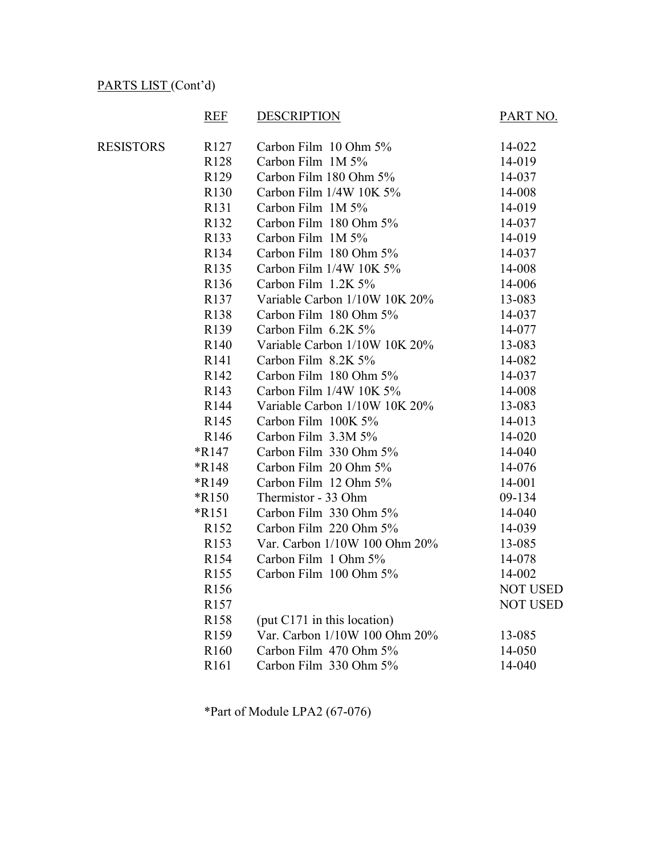#### REF DESCRIPTION PART NO. RESISTORS R127 Carbon Film 10 Ohm 5% 14-022 R128 Carbon Film 1M 5% 14-019 R129 Carbon Film 180 Ohm 5% 14-037 R130 Carbon Film 1/4W 10K 5% 14-008 R131 Carbon Film 1M 5% 14-019 R132 Carbon Film 180 Ohm 5% 14-037 R133 Carbon Film 1M 5% 14-019 R134 Carbon Film 180 Ohm 5% 14-037 R135 Carbon Film 1/4W 10K 5% 14-008 R136 Carbon Film 1.2K 5% 14-006 R137 Variable Carbon 1/10W 10K 20% 13-083 R138 Carbon Film 180 Ohm 5% 14-037 R139 Carbon Film 6.2K 5% 14-077 R140 Variable Carbon 1/10W 10K 20% 13-083 R141 Carbon Film 8.2K 5% 14-082 R142 Carbon Film 180 Ohm 5% 14-037 R143 Carbon Film 1/4W 10K 5% 14-008 R144 Variable Carbon 1/10W 10K 20% 13-083 R145 Carbon Film 100K 5% 14-013 R146 Carbon Film 3.3M 5% 14-020 \*R147 Carbon Film 330 Ohm 5% 14-040 \*R148 Carbon Film 20 Ohm 5% 14-076 \*R149 Carbon Film 12 Ohm 5% 14-001 \*R150 Thermistor - 33 Ohm 09-134 \*R151 Carbon Film 330 Ohm 5% 14-040 R152 Carbon Film 220 Ohm 5% 14-039 R153 Var. Carbon 1/10W 100 Ohm 20% 13-085 R154 Carbon Film 1 Ohm 5% 14-078 R155 Carbon Film 100 Ohm 5% 14-002 R<sub>156</sub> NOT USED R157 NOT USED R158 (put C171 in this location) R159 Var. Carbon 1/10W 100 Ohm 20% 13-085 R160 Carbon Film 470 Ohm 5% 14-050 R161 Carbon Film 330 Ohm 5% 14-040

\*Part of Module LPA2 (67-076)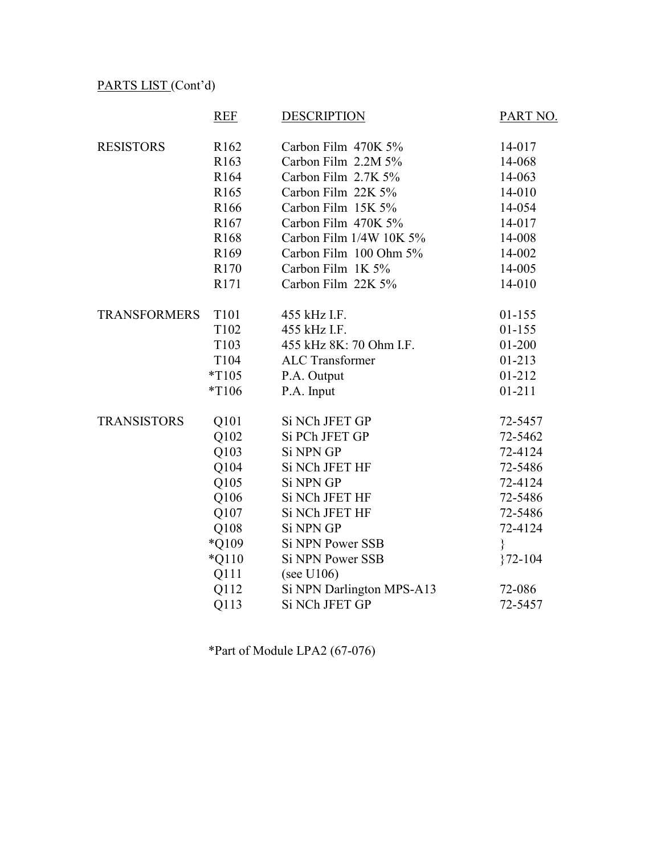|                     | <b>REF</b>       | <b>DESCRIPTION</b>        | PART NO.    |
|---------------------|------------------|---------------------------|-------------|
| <b>RESISTORS</b>    | R <sub>162</sub> | Carbon Film 470K 5%       | 14-017      |
|                     | R163             | Carbon Film 2.2M 5%       | 14-068      |
|                     | R <sub>164</sub> | Carbon Film 2.7K 5%       | 14-063      |
|                     | R <sub>165</sub> | Carbon Film 22K 5%        | 14-010      |
|                     | R <sub>166</sub> | Carbon Film 15K 5%        | 14-054      |
|                     | R <sub>167</sub> | Carbon Film 470K 5%       | 14-017      |
|                     | R <sub>168</sub> | Carbon Film 1/4W 10K 5%   | 14-008      |
|                     | R <sub>169</sub> | Carbon Film 100 Ohm 5%    | 14-002      |
|                     | R <sub>170</sub> | Carbon Film 1K 5%         | 14-005      |
|                     | R171             | Carbon Film 22K 5%        | 14-010      |
| <b>TRANSFORMERS</b> | T101             | 455 kHz I.F.              | $01 - 155$  |
|                     | T102             | 455 kHz I.F.              | $01 - 155$  |
|                     | T103             | 455 kHz 8K: 70 Ohm I.F.   | $01 - 200$  |
|                     | T104             | <b>ALC</b> Transformer    | $01 - 213$  |
|                     | $*T105$          | P.A. Output               | 01-212      |
|                     | $*T106$          | P.A. Input                | $01 - 211$  |
| <b>TRANSISTORS</b>  | Q101             | Si NCh JFET GP            | 72-5457     |
|                     | Q102             | Si PCh JFET GP            | 72-5462     |
|                     | Q103             | Si NPN GP                 | 72-4124     |
|                     | Q104             | Si NCh JFET HF            | 72-5486     |
|                     | Q105             | Si NPN GP                 | 72-4124     |
|                     | Q106             | Si NCh JFET HF            | 72-5486     |
|                     | Q107             | Si NCh JFET HF            | 72-5486     |
|                     | Q108             | <b>Si NPN GP</b>          | 72-4124     |
|                     | *Q109            | <b>Si NPN Power SSB</b>   | ∤           |
|                     | $*Q110$          | <b>Si NPN Power SSB</b>   | $372 - 104$ |
|                     | Q111             | (see U106)                |             |
|                     | Q112             | Si NPN Darlington MPS-A13 | 72-086      |
|                     | Q113             | Si NCh JFET GP            | 72-5457     |

\*Part of Module LPA2 (67-076)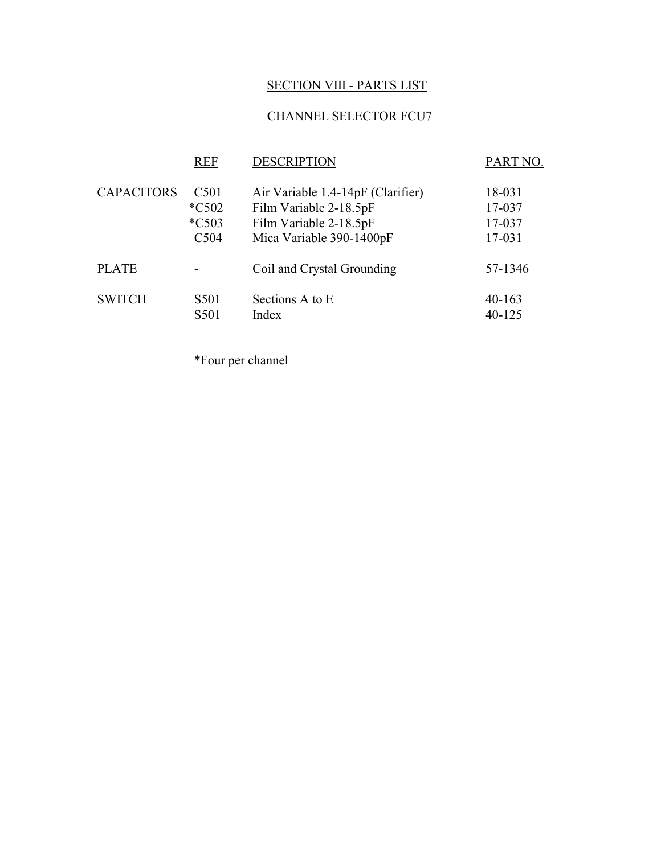# SECTION VIII - PARTS LIST

# CHANNEL SELECTOR FCU7

|                   | <b>REF</b>       | <b>DESCRIPTION</b>                | PART NO.   |
|-------------------|------------------|-----------------------------------|------------|
| <b>CAPACITORS</b> | C <sub>501</sub> | Air Variable 1.4-14pF (Clarifier) | 18-031     |
|                   | $*C502$          | Film Variable 2-18.5pF            | 17-037     |
|                   | $*C503$          | Film Variable 2-18.5pF            | 17-037     |
|                   | C504             | Mica Variable 390-1400pF          | 17-031     |
| <b>PLATE</b>      |                  | Coil and Crystal Grounding        | 57-1346    |
| <b>SWITCH</b>     | S501             | Sections A to E                   | $40 - 163$ |
|                   | S501             | Index                             | 40-125     |

\*Four per channel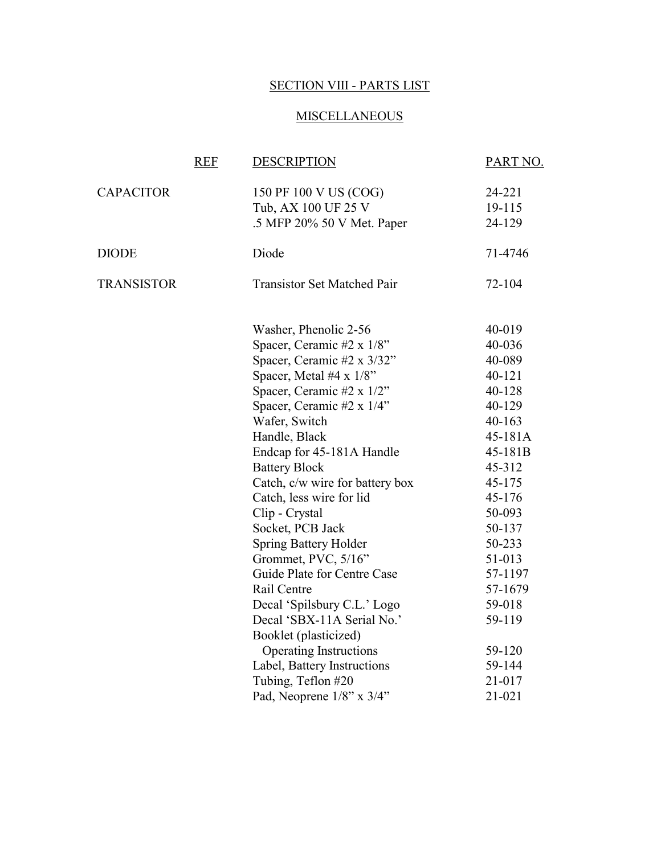### SECTION VIII - PARTS LIST

#### **MISCELLANEOUS**

|                   | <b>REF</b> | <b>DESCRIPTION</b>                                                                                                                                                                                                                                                                                                                                                                                                                                                                                                                                                                                                                                                                      | PART NO.                                                                                                                                                                                                                                                 |
|-------------------|------------|-----------------------------------------------------------------------------------------------------------------------------------------------------------------------------------------------------------------------------------------------------------------------------------------------------------------------------------------------------------------------------------------------------------------------------------------------------------------------------------------------------------------------------------------------------------------------------------------------------------------------------------------------------------------------------------------|----------------------------------------------------------------------------------------------------------------------------------------------------------------------------------------------------------------------------------------------------------|
| <b>CAPACITOR</b>  |            | 150 PF 100 V US (COG)<br>Tub, AX 100 UF 25 V<br>.5 MFP 20% 50 V Met. Paper                                                                                                                                                                                                                                                                                                                                                                                                                                                                                                                                                                                                              | 24-221<br>19-115<br>24-129                                                                                                                                                                                                                               |
| <b>DIODE</b>      |            | Diode                                                                                                                                                                                                                                                                                                                                                                                                                                                                                                                                                                                                                                                                                   | 71-4746                                                                                                                                                                                                                                                  |
| <b>TRANSISTOR</b> |            | <b>Transistor Set Matched Pair</b>                                                                                                                                                                                                                                                                                                                                                                                                                                                                                                                                                                                                                                                      | 72-104                                                                                                                                                                                                                                                   |
|                   |            | Washer, Phenolic 2-56<br>Spacer, Ceramic #2 x 1/8"<br>Spacer, Ceramic #2 x 3/32"<br>Spacer, Metal #4 $x$ 1/8"<br>Spacer, Ceramic #2 x 1/2"<br>Spacer, Ceramic #2 x 1/4"<br>Wafer, Switch<br>Handle, Black<br>Endcap for 45-181A Handle<br><b>Battery Block</b><br>Catch, c/w wire for battery box<br>Catch, less wire for lid<br>Clip - Crystal<br>Socket, PCB Jack<br><b>Spring Battery Holder</b><br>Grommet, PVC, 5/16"<br>Guide Plate for Centre Case<br>Rail Centre<br>Decal 'Spilsbury C.L.' Logo<br>Decal 'SBX-11A Serial No.'<br>Booklet (plasticized)<br><b>Operating Instructions</b><br>Label, Battery Instructions<br>Tubing, Teflon #20<br>Pad, Neoprene $1/8$ " x $3/4$ " | 40-019<br>40-036<br>40-089<br>$40 - 121$<br>40-128<br>40-129<br>$40 - 163$<br>45-181A<br>45-181B<br>45-312<br>45-175<br>45-176<br>50-093<br>50-137<br>50-233<br>51-013<br>57-1197<br>57-1679<br>59-018<br>59-119<br>59-120<br>59-144<br>21-017<br>21-021 |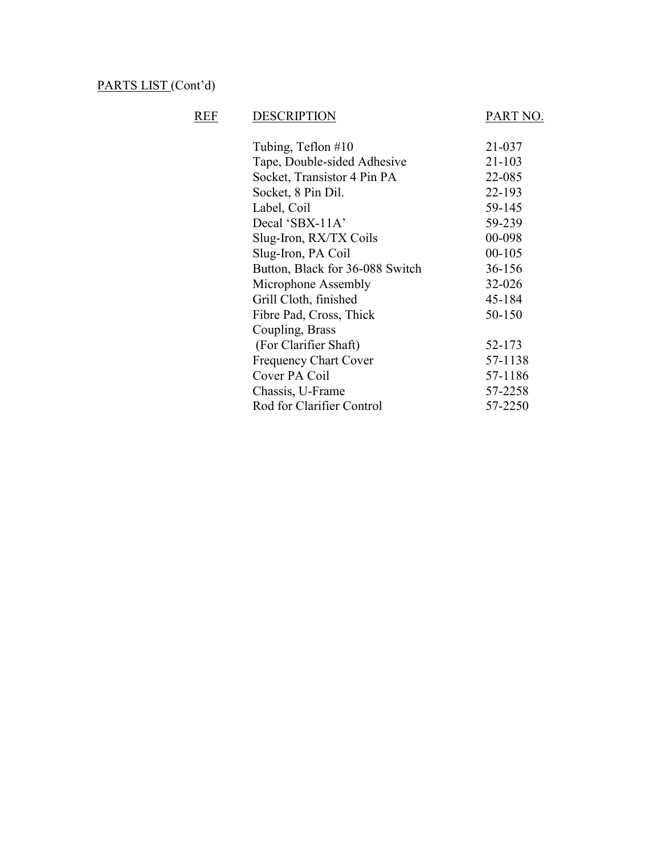# REF DESCRIPTION PART NO.

| Tubing, Teflon #10              | 21-037     |
|---------------------------------|------------|
| Tape, Double-sided Adhesive     | 21-103     |
| Socket, Transistor 4 Pin PA     | 22-085     |
| Socket, 8 Pin Dil.              | 22-193     |
| Label, Coil                     | 59-145     |
| Decal 'SBX-11A'                 | 59-239     |
| Slug-Iron, RX/TX Coils          | 00-098     |
| Slug-Iron, PA Coil              | $00 - 105$ |
| Button, Black for 36-088 Switch | 36-156     |
| Microphone Assembly             | 32-026     |
| Grill Cloth, finished           | 45-184     |
| Fibre Pad, Cross, Thick         | 50-150     |
| Coupling, Brass                 |            |
| (For Clarifier Shaft)           | 52-173     |
| <b>Frequency Chart Cover</b>    | 57-1138    |
| Cover PA Coil                   | 57-1186    |
| Chassis, U-Frame                | 57-2258    |
| Rod for Clarifier Control       | 57-2250    |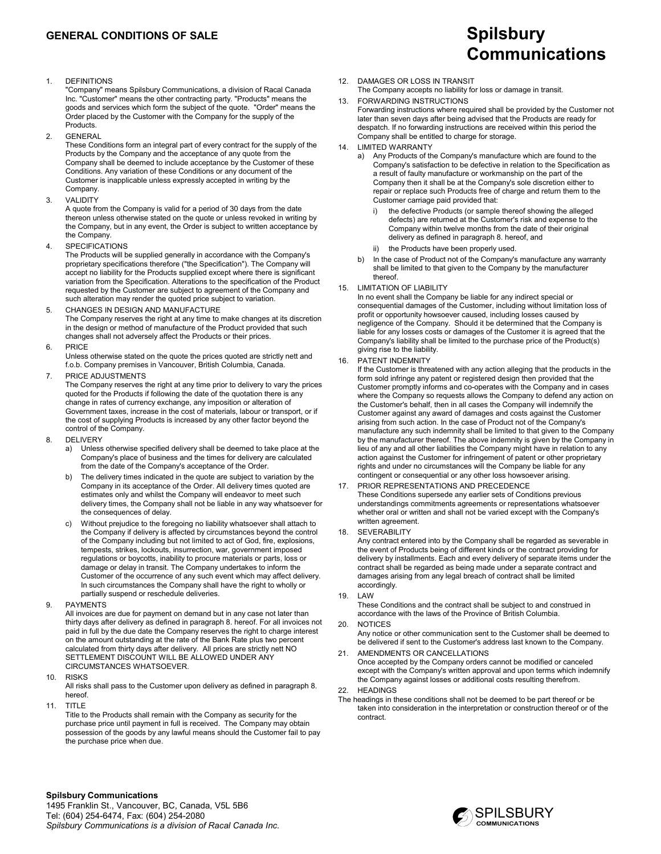#### **GENERAL CONDITIONS OF SALE**

1. DEFINITIONS

 "Company" means Spilsbury Communications, a division of Racal Canada Inc. "Customer" means the other contracting party. "Products" means the goods and services which form the subject of the quote. "Order" means the Order placed by the Customer with the Company for the supply of the Products.

2. GENERAL

 These Conditions form an integral part of every contract for the supply of the Products by the Company and the acceptance of any quote from the Company shall be deemed to include acceptance by the Customer of these Conditions. Any variation of these Conditions or any document of the Customer is inapplicable unless expressly accepted in writing by the Company.

3. VALIDITY

 A quote from the Company is valid for a period of 30 days from the date thereon unless otherwise stated on the quote or unless revoked in writing by the Company, but in any event, the Order is subject to written acceptance by the Company.

4. SPECIFICATIONS

 The Products will be supplied generally in accordance with the Company's proprietary specifications therefore ("the Specification"). The Company will accept no liability for the Products supplied except where there is significant variation from the Specification. Alterations to the specification of the Product requested by the Customer are subject to agreement of the Company and such alteration may render the quoted price subject to variation.

- 5. CHANGES IN DESIGN AND MANUFACTURE The Company reserves the right at any time to make changes at its discretion in the design or method of manufacture of the Product provided that such changes shall not adversely affect the Products or their prices.
- 6. PRICE

 Unless otherwise stated on the quote the prices quoted are strictly nett and f.o.b. Company premises in Vancouver, British Columbia, Canada.

7. PRICE ADJUSTMENTS

 The Company reserves the right at any time prior to delivery to vary the prices quoted for the Products if following the date of the quotation there is any change in rates of currency exchange, any imposition or alteration of Government taxes, increase in the cost of materials, labour or transport, or if the cost of supplying Products is increased by any other factor beyond the control of the Company.

- 8. DELIVERY
	- a) Unless otherwise specified delivery shall be deemed to take place at the Company's place of business and the times for delivery are calculated from the date of the Company's acceptance of the Order.
	- b) The delivery times indicated in the quote are subject to variation by the Company in its acceptance of the Order. All delivery times quoted are estimates only and whilst the Company will endeavor to meet such delivery times, the Company shall not be liable in any way whatsoever for the consequences of delay.
	- c) Without prejudice to the foregoing no liability whatsoever shall attach to the Company if delivery is affected by circumstances beyond the control of the Company including but not limited to act of God, fire, explosions, tempests, strikes, lockouts, insurrection, war, government imposed regulations or boycotts, inability to procure materials or parts, loss or damage or delay in transit. The Company undertakes to inform the Customer of the occurrence of any such event which may affect delivery. In such circumstances the Company shall have the right to wholly or partially suspend or reschedule deliveries.
- 9. PAYMENTS

 All invoices are due for payment on demand but in any case not later than thirty days after delivery as defined in paragraph 8. hereof. For all invoices not paid in full by the due date the Company reserves the right to charge interest on the amount outstanding at the rate of the Bank Rate plus two percent calculated from thirty days after delivery. All prices are strictly nett NO SETTLEMENT DISCOUNT WILL BE ALLOWED UNDER ANY CIRCUMSTANCES WHATSOEVER.

10. RISKS

 All risks shall pass to the Customer upon delivery as defined in paragraph 8. hereof.

11. TITLE

 Title to the Products shall remain with the Company as security for the purchase price until payment in full is received. The Company may obtain possession of the goods by any lawful means should the Customer fail to pay the purchase price when due.

# **Communications**

#### 12. DAMAGES OR LOSS IN TRANSIT

 The Company accepts no liability for loss or damage in transit. 13. FORWARDING INSTRUCTIONS

- Forwarding instructions where required shall be provided by the Customer not later than seven days after being advised that the Products are ready for despatch. If no forwarding instructions are received within this period the Company shall be entitled to charge for storage.
- 14. LIMITED WARRANTY
	- Any Products of the Company's manufacture which are found to the Company's satisfaction to be defective in relation to the Specification as a result of faulty manufacture or workmanship on the part of the Company then it shall be at the Company's sole discretion either to repair or replace such Products free of charge and return them to the Customer carriage paid provided that:
		- the defective Products (or sample thereof showing the alleged defects) are returned at the Customer's risk and expense to the Company within twelve months from the date of their original delivery as defined in paragraph 8. hereof, and
		- ii) the Products have been properly used.
	- b) In the case of Product not of the Company's manufacture any warranty shall be limited to that given to the Company by the manufacturer thereof.
- 15. LIMITATION OF LIABILITY

 In no event shall the Company be liable for any indirect special or consequential damages of the Customer, including without limitation loss of profit or opportunity howsoever caused, including losses caused by negligence of the Company. Should it be determined that the Company is liable for any losses costs or damages of the Customer it is agreed that the Company's liability shall be limited to the purchase price of the Product(s) giving rise to the liability.

16. PATENT INDEMNITY

 If the Customer is threatened with any action alleging that the products in the form sold infringe any patent or registered design then provided that the Customer promptly informs and co-operates with the Company and in cases where the Company so requests allows the Company to defend any action on the Customer's behalf, then in all cases the Company will indemnify the Customer against any award of damages and costs against the Customer arising from such action. In the case of Product not of the Company's manufacture any such indemnity shall be limited to that given to the Company by the manufacturer thereof. The above indemnity is given by the Company in lieu of any and all other liabilities the Company might have in relation to any action against the Customer for infringement of patent or other proprietary rights and under no circumstances will the Company be liable for any contingent or consequential or any other loss howsoever arising.

- 17. PRIOR REPRESENTATIONS AND PRECEDENCE These Conditions supersede any earlier sets of Conditions previous understandings commitments agreements or representations whatsoever whether oral or written and shall not be varied except with the Company's written agreement.
- 18. SEVERABILITY

 Any contract entered into by the Company shall be regarded as severable in the event of Products being of different kinds or the contract providing for delivery by installments. Each and every delivery of separate items under the contract shall be regarded as being made under a separate contract and damages arising from any legal breach of contract shall be limited accordingly.

19. LAW

These Conditions and the contract shall be subject to and construed in accordance with the laws of the Province of British Columbia.

20. NOTICES

 Any notice or other communication sent to the Customer shall be deemed to be delivered if sent to the Customer's address last known to the Company.

- 21. AMENDMENTS OR CANCELLATIONS Once accepted by the Company orders cannot be modified or canceled except with the Company's written approval and upon terms which indemnify the Company against losses or additional costs resulting therefrom. 22. HEADINGS
	-
- The headings in these conditions shall not be deemed to be part thereof or be taken into consideration in the interpretation or construction thereof or of the contract.

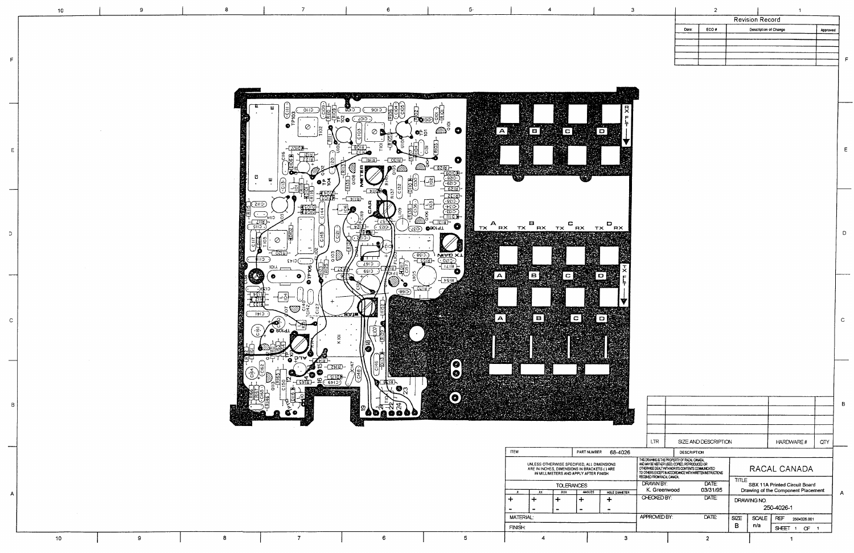

| <b>ITEM</b>      |     |            | PART NUMBER                                                                                                                          | 68-4026              |  |
|------------------|-----|------------|--------------------------------------------------------------------------------------------------------------------------------------|----------------------|--|
|                  |     |            | UNLESS OTHERWISE SPECIFIED, ALL DIMENSIONS<br>ARE IN INCHES, DIMENSIONS IN BRACKETS ( ) ARE<br>IN MILLIMETERS AND APPLY AFTER FINISH |                      |  |
|                  |     | TOLERANCES |                                                                                                                                      |                      |  |
| χ.               | XX. | XXX        | <b>ANGLES</b>                                                                                                                        | <b>HOLE DIAMETER</b> |  |
|                  |     |            |                                                                                                                                      |                      |  |
|                  |     |            |                                                                                                                                      |                      |  |
| <b>MATERIAL:</b> |     |            |                                                                                                                                      |                      |  |
| <b>FINISH:</b>   |     |            |                                                                                                                                      |                      |  |
|                  |     |            |                                                                                                                                      | з                    |  |

 $10<sub>10</sub>$ 

 $10<sub>10</sub>$ 

 $\cup$ 

 $\mathbf C$ 

9

 $\mathsf{9}$ 

 $\bf 8$ 

 $\overline{7}$ 

 $6<sup>1</sup>$ 

 $5\overline{)}$ 

|    |                                                                                                                                                                                                                                                 |     |                                                                              |                      |              |                    |                        |     | B |
|----|-------------------------------------------------------------------------------------------------------------------------------------------------------------------------------------------------------------------------------------------------|-----|------------------------------------------------------------------------------|----------------------|--------------|--------------------|------------------------|-----|---|
|    |                                                                                                                                                                                                                                                 |     |                                                                              |                      |              |                    |                        |     |   |
|    |                                                                                                                                                                                                                                                 | LTR |                                                                              | SIZE AND DESCRIPTION |              |                    | <b>HARDWARE#</b>       | QTY |   |
| Ŝ. |                                                                                                                                                                                                                                                 |     | <b>DESCRIPTION</b>                                                           |                      |              |                    |                        |     |   |
|    | THIS DRAWING IS THE PROPERTY OF RACAL CANADA.<br>AND MAY BE NEITHER USED, COPIED, REPRODUCED OR<br>OTHERWISE DEALT WITH NOR ITS CONTENTS COMMUNICATED<br>TO OTHERS EXCEPT IN ACCORDANCE WITH WRITTEN INSTRUCTIONS<br>RECEMED FROM RACAL CANADA. |     |                                                                              | RACAL CANADA         |              |                    |                        |     |   |
| R  | DRAWN BY:<br>DATE:<br>K. Greenwood<br>03/31/95<br>CHECKED BY:<br>$\overline{\text{DATE}}$<br>APPROVED BY:<br>DATE:                                                                                                                              |     | TITLE<br>SBX 11A Printed Circuit Board<br>Drawing of the Component Placement |                      |              |                    | А                      |     |   |
|    |                                                                                                                                                                                                                                                 |     |                                                                              | DRAWING NO.          | 250-4026-1   |                    |                        |     |   |
|    |                                                                                                                                                                                                                                                 |     |                                                                              | <b>SIZE</b>          | <b>SCALE</b> | REF<br>2504026.001 |                        |     |   |
|    |                                                                                                                                                                                                                                                 |     |                                                                              |                      | в            | n/a                | <b>SHEET</b><br>1<br>Œ | - 1 |   |
|    |                                                                                                                                                                                                                                                 |     |                                                                              | 2                    |              |                    |                        |     |   |

 $\overline{2}$ **Revision Record** Date: ECO# Description of Change

 $E$ 

 $D$ 

 $\,$   $\,$   $\,$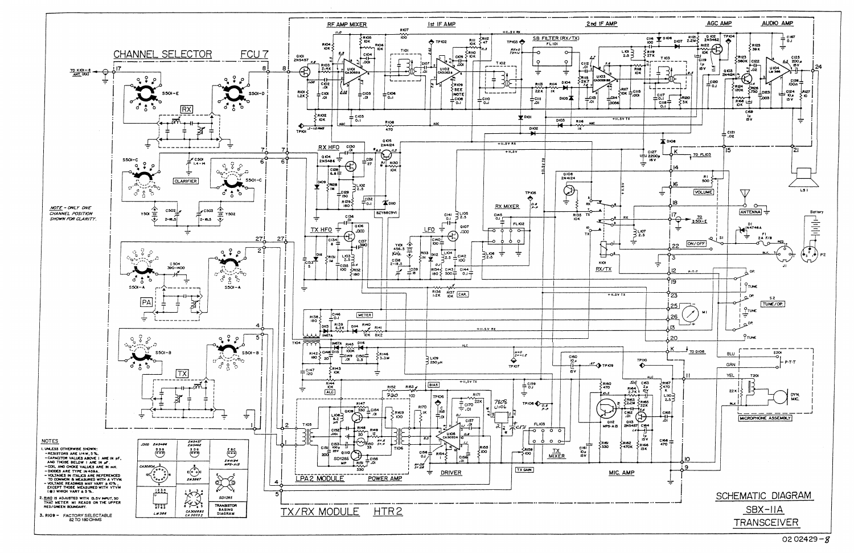